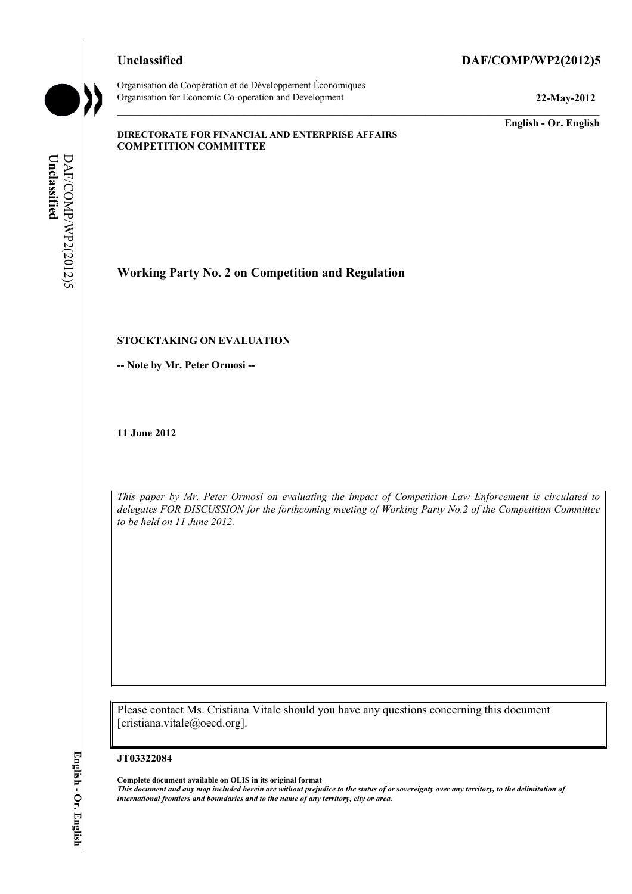## **Unclassified DAF/COMP/WP2(2012)5**

Organisation de Coopération et de Développement Économiques Organisation for Economic Co-operation and Development **22-May-2012** 

**English - Or. English** 

### **DIRECTORATE FOR FINANCIAL AND ENTERPRISE AFFAIRS COMPETITION COMMITTEE**

Unclassified DAF/COMP/WP2(2012)5 DAF/COMP/WP2(2012)5 **Unclassified** 

# **Working Party No. 2 on Competition and Regulation**

## **STOCKTAKING ON EVALUATION**

**-- Note by Mr. Peter Ormosi --** 

**11 June 2012** 

*This paper by Mr. Peter Ormosi on evaluating the impact of Competition Law Enforcement is circulated to delegates FOR DISCUSSION for the forthcoming meeting of Working Party No.2 of the Competition Committee to be held on 11 June 2012.* 

Please contact Ms. Cristiana Vitale should you have any questions concerning this document [cristiana.vitale@oecd.org].

#### **JT03322084**

**Complete document available on OLIS in its original format** *This document and any map included herein are without prejudice to the status of or sovereignty over any territory, to the delimitation of international frontiers and boundaries and to the name of any territory, city or area.*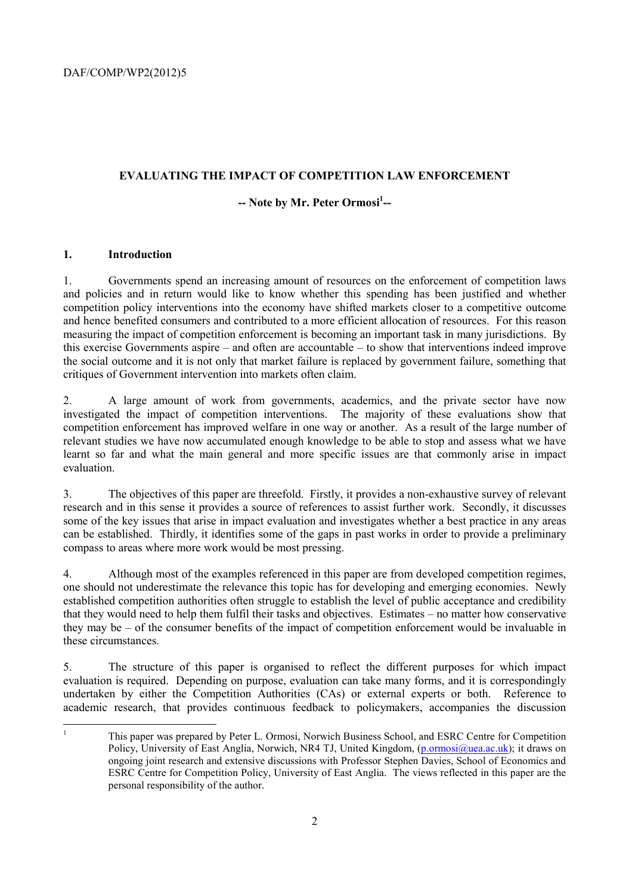## **EVALUATING THE IMPACT OF COMPETITION LAW ENFORCEMENT**

## -- Note by Mr. Peter Ormosi<sup>1</sup>--

## **1. Introduction**

1. Governments spend an increasing amount of resources on the enforcement of competition laws and policies and in return would like to know whether this spending has been justified and whether competition policy interventions into the economy have shifted markets closer to a competitive outcome and hence benefited consumers and contributed to a more efficient allocation of resources. For this reason measuring the impact of competition enforcement is becoming an important task in many jurisdictions. By this exercise Governments aspire – and often are accountable – to show that interventions indeed improve the social outcome and it is not only that market failure is replaced by government failure, something that critiques of Government intervention into markets often claim.

2. A large amount of work from governments, academics, and the private sector have now investigated the impact of competition interventions. The majority of these evaluations show that competition enforcement has improved welfare in one way or another. As a result of the large number of relevant studies we have now accumulated enough knowledge to be able to stop and assess what we have learnt so far and what the main general and more specific issues are that commonly arise in impact evaluation.

3. The objectives of this paper are threefold. Firstly, it provides a non-exhaustive survey of relevant research and in this sense it provides a source of references to assist further work. Secondly, it discusses some of the key issues that arise in impact evaluation and investigates whether a best practice in any areas can be established. Thirdly, it identifies some of the gaps in past works in order to provide a preliminary compass to areas where more work would be most pressing.

4. Although most of the examples referenced in this paper are from developed competition regimes, one should not underestimate the relevance this topic has for developing and emerging economies. Newly established competition authorities often struggle to establish the level of public acceptance and credibility that they would need to help them fulfil their tasks and objectives. Estimates – no matter how conservative they may be – of the consumer benefits of the impact of competition enforcement would be invaluable in these circumstances.

5. The structure of this paper is organised to reflect the different purposes for which impact evaluation is required. Depending on purpose, evaluation can take many forms, and it is correspondingly undertaken by either the Competition Authorities (CAs) or external experts or both. Reference to academic research, that provides continuous feedback to policymakers, accompanies the discussion

|<br>|<br>|

This paper was prepared by Peter L. Ormosi, Norwich Business School, and ESRC Centre for Competition Policy, University of East Anglia, Norwich, NR4 TJ, United Kingdom, (p.ormosi@uea.ac.uk); it draws on ongoing joint research and extensive discussions with Professor Stephen Davies, School of Economics and ESRC Centre for Competition Policy, University of East Anglia. The views reflected in this paper are the personal responsibility of the author.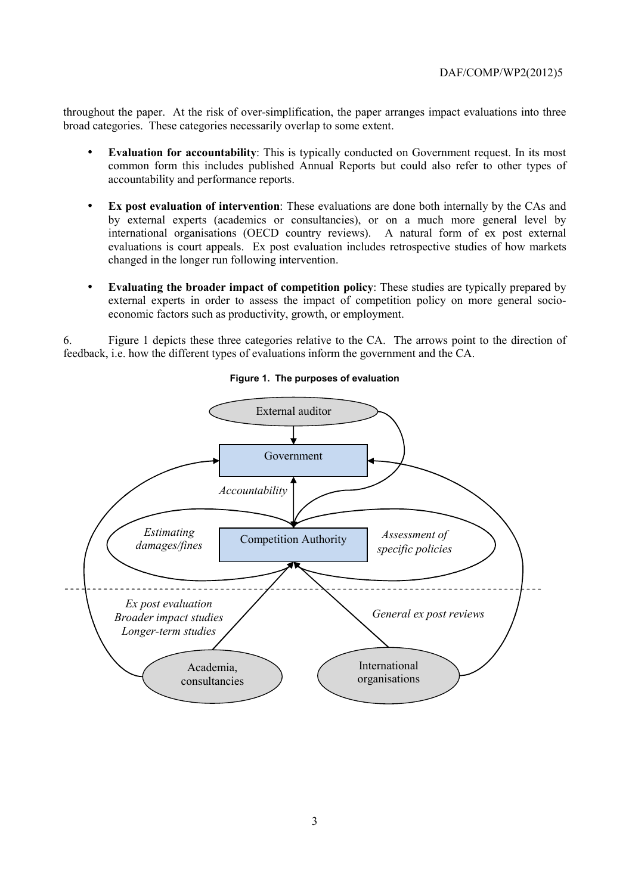throughout the paper. At the risk of over-simplification, the paper arranges impact evaluations into three broad categories. These categories necessarily overlap to some extent.

- **Evaluation for accountability**: This is typically conducted on Government request. In its most common form this includes published Annual Reports but could also refer to other types of accountability and performance reports.
- **Ex post evaluation of intervention**: These evaluations are done both internally by the CAs and by external experts (academics or consultancies), or on a much more general level by international organisations (OECD country reviews). A natural form of ex post external evaluations is court appeals. Ex post evaluation includes retrospective studies of how markets changed in the longer run following intervention.
- **Evaluating the broader impact of competition policy**: These studies are typically prepared by external experts in order to assess the impact of competition policy on more general socioeconomic factors such as productivity, growth, or employment.

6. Figure 1 depicts these three categories relative to the CA. The arrows point to the direction of feedback, i.e. how the different types of evaluations inform the government and the CA.



**Figure 1. The purposes of evaluation**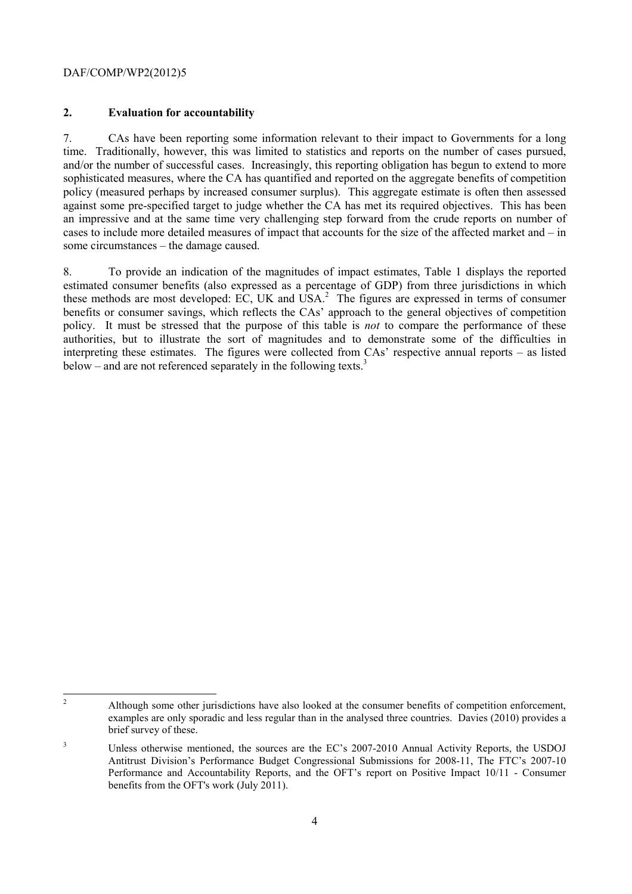## **2. Evaluation for accountability**

7. CAs have been reporting some information relevant to their impact to Governments for a long time. Traditionally, however, this was limited to statistics and reports on the number of cases pursued, and/or the number of successful cases. Increasingly, this reporting obligation has begun to extend to more sophisticated measures, where the CA has quantified and reported on the aggregate benefits of competition policy (measured perhaps by increased consumer surplus). This aggregate estimate is often then assessed against some pre-specified target to judge whether the CA has met its required objectives. This has been an impressive and at the same time very challenging step forward from the crude reports on number of cases to include more detailed measures of impact that accounts for the size of the affected market and – in some circumstances – the damage caused.

8. To provide an indication of the magnitudes of impact estimates, Table 1 displays the reported estimated consumer benefits (also expressed as a percentage of GDP) from three jurisdictions in which these methods are most developed: EC, UK and USA.<sup>2</sup> The figures are expressed in terms of consumer benefits or consumer savings, which reflects the CAs' approach to the general objectives of competition policy. It must be stressed that the purpose of this table is *not* to compare the performance of these authorities, but to illustrate the sort of magnitudes and to demonstrate some of the difficulties in interpreting these estimates. The figures were collected from CAs' respective annual reports – as listed below – and are not referenced separately in the following texts.<sup>3</sup>

 $\frac{1}{2}$  Although some other jurisdictions have also looked at the consumer benefits of competition enforcement, examples are only sporadic and less regular than in the analysed three countries. Davies (2010) provides a brief survey of these.

<sup>3</sup> Unless otherwise mentioned, the sources are the EC's 2007-2010 Annual Activity Reports, the USDOJ Antitrust Division's Performance Budget Congressional Submissions for 2008-11, The FTC's 2007-10 Performance and Accountability Reports, and the OFT's report on Positive Impact 10/11 - Consumer benefits from the OFT's work (July 2011).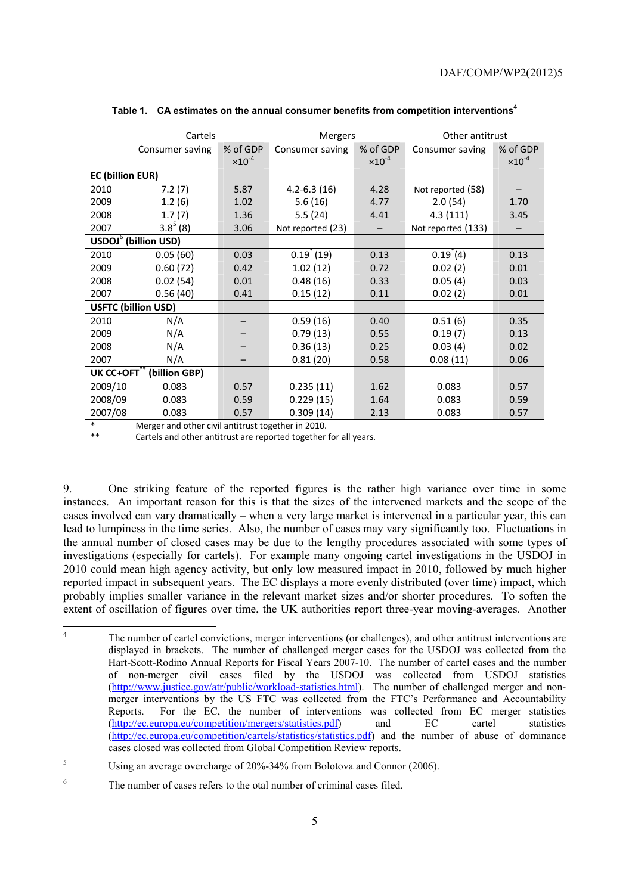|                            | Cartels                          |                  | <b>Mergers</b>       |                  | Other antitrust     |                  |
|----------------------------|----------------------------------|------------------|----------------------|------------------|---------------------|------------------|
|                            | Consumer saving                  | % of GDP         | Consumer saving      | % of GDP         | Consumer saving     | % of GDP         |
|                            |                                  | $\times 10^{-4}$ |                      | $\times 10^{-4}$ |                     | $\times 10^{-4}$ |
| <b>EC (billion EUR)</b>    |                                  |                  |                      |                  |                     |                  |
| 2010                       | 7.2(7)                           | 5.87             | $4.2 - 6.3(16)$      | 4.28             | Not reported (58)   |                  |
| 2009                       | 1.2(6)                           | 1.02             | 5.6(16)              | 4.77             | 2.0(54)             | 1.70             |
| 2008                       | 1.7(7)                           | 1.36             | 5.5(24)              | 4.41             | 4.3(111)            | 3.45             |
| 2007                       | $3.8^{5}$ (8)                    | 3.06             | Not reported (23)    |                  | Not reported (133)  |                  |
|                            | USDOJ <sup>6</sup> (billion USD) |                  |                      |                  |                     |                  |
| 2010                       | 0.05(60)                         | 0.03             | $0.19^{\degree}(19)$ | 0.13             | $0.19^{\degree}(4)$ | 0.13             |
| 2009                       | 0.60(72)                         | 0.42             | 1.02(12)             | 0.72             | 0.02(2)             | 0.01             |
| 2008                       | 0.02(54)                         | 0.01             | 0.48(16)             | 0.33             | 0.05(4)             | 0.03             |
| 2007                       | 0.56(40)                         | 0.41             | 0.15(12)             | 0.11             | 0.02(2)             | 0.01             |
| <b>USFTC (billion USD)</b> |                                  |                  |                      |                  |                     |                  |
| 2010                       | N/A                              |                  | 0.59(16)             | 0.40             | 0.51(6)             | 0.35             |
| 2009                       | N/A                              |                  | 0.79(13)             | 0.55             | 0.19(7)             | 0.13             |
| 2008                       | N/A                              |                  | 0.36(13)             | 0.25             | 0.03(4)             | 0.02             |
| 2007                       | N/A                              |                  | 0.81(20)             | 0.58             | 0.08(11)            | 0.06             |
| UK CC+OFT                  | (billion GBP)                    |                  |                      |                  |                     |                  |
| 2009/10                    | 0.083                            | 0.57             | 0.235(11)            | 1.62             | 0.083               | 0.57             |
| 2008/09                    | 0.083                            | 0.59             | 0.229(15)            | 1.64             | 0.083               | 0.59             |
| 2007/08                    | 0.083                            | 0.57             | 0.309(14)            | 2.13             | 0.083               | 0.57             |

#### Table 1. CA estimates on the annual consumer benefits from competition interventions<sup>4</sup>

Merger and other civil antitrust together in 2010.

Cartels and other antitrust are reported together for all years.

9. One striking feature of the reported figures is the rather high variance over time in some instances. An important reason for this is that the sizes of the intervened markets and the scope of the cases involved can vary dramatically – when a very large market is intervened in a particular year, this can lead to lumpiness in the time series. Also, the number of cases may vary significantly too. Fluctuations in the annual number of closed cases may be due to the lengthy procedures associated with some types of investigations (especially for cartels). For example many ongoing cartel investigations in the USDOJ in 2010 could mean high agency activity, but only low measured impact in 2010, followed by much higher reported impact in subsequent years. The EC displays a more evenly distributed (over time) impact, which probably implies smaller variance in the relevant market sizes and/or shorter procedures. To soften the extent of oscillation of figures over time, the UK authorities report three-year moving-averages. Another

 $\frac{1}{4}$  The number of cartel convictions, merger interventions (or challenges), and other antitrust interventions are displayed in brackets. The number of challenged merger cases for the USDOJ was collected from the Hart-Scott-Rodino Annual Reports for Fiscal Years 2007-10. The number of cartel cases and the number of non-merger civil cases filed by the USDOJ was collected from USDOJ statistics (http://www.justice.gov/atr/public/workload-statistics.html). The number of challenged merger and nonmerger interventions by the US FTC was collected from the FTC's Performance and Accountability Reports. For the EC, the number of interventions was collected from EC merger statistics (http://ec.europa.eu/competition/mergers/statistics.pdf) and EC cartel statistics (http://ec.europa.eu/competition/cartels/statistics/statistics.pdf) and the number of abuse of dominance cases closed was collected from Global Competition Review reports.

<sup>5</sup> Using an average overcharge of 20%-34% from Bolotova and Connor (2006).

<sup>6</sup> The number of cases refers to the otal number of criminal cases filed.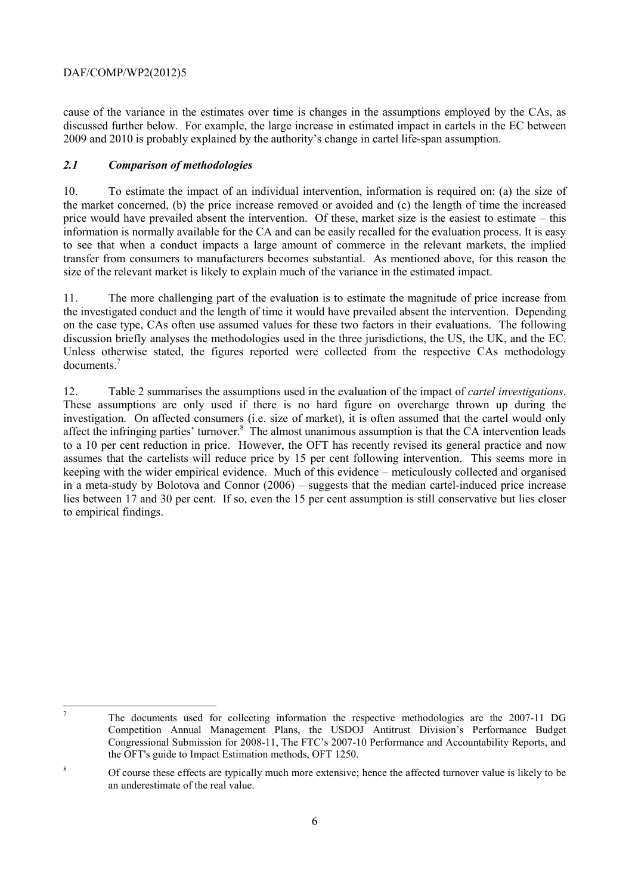cause of the variance in the estimates over time is changes in the assumptions employed by the CAs, as discussed further below. For example, the large increase in estimated impact in cartels in the EC between 2009 and 2010 is probably explained by the authority's change in cartel life-span assumption.

## *2.1 Comparison of methodologies*

10. To estimate the impact of an individual intervention, information is required on: (a) the size of the market concerned, (b) the price increase removed or avoided and (c) the length of time the increased price would have prevailed absent the intervention. Of these, market size is the easiest to estimate – this information is normally available for the CA and can be easily recalled for the evaluation process. It is easy to see that when a conduct impacts a large amount of commerce in the relevant markets, the implied transfer from consumers to manufacturers becomes substantial. As mentioned above, for this reason the size of the relevant market is likely to explain much of the variance in the estimated impact.

11. The more challenging part of the evaluation is to estimate the magnitude of price increase from the investigated conduct and the length of time it would have prevailed absent the intervention. Depending on the case type, CAs often use assumed values for these two factors in their evaluations. The following discussion briefly analyses the methodologies used in the three jurisdictions, the US, the UK, and the EC. Unless otherwise stated, the figures reported were collected from the respective CAs methodology documents.7

12. Table 2 summarises the assumptions used in the evaluation of the impact of *cartel investigations*. These assumptions are only used if there is no hard figure on overcharge thrown up during the investigation. On affected consumers (i.e. size of market), it is often assumed that the cartel would only affect the infringing parties' turnover.<sup>8</sup> The almost unanimous assumption is that the CA intervention leads to a 10 per cent reduction in price. However, the OFT has recently revised its general practice and now assumes that the cartelists will reduce price by 15 per cent following intervention. This seems more in keeping with the wider empirical evidence. Much of this evidence – meticulously collected and organised in a meta-study by Bolotova and Connor (2006) – suggests that the median cartel-induced price increase lies between 17 and 30 per cent. If so, even the 15 per cent assumption is still conservative but lies closer to empirical findings.

<sup>-</sup>

The documents used for collecting information the respective methodologies are the 2007-11 DG Competition Annual Management Plans, the USDOJ Antitrust Division's Performance Budget Congressional Submission for 2008-11, The FTC's 2007-10 Performance and Accountability Reports, and the OFT's guide to Impact Estimation methods, OFT 1250.

<sup>8</sup> Of course these effects are typically much more extensive; hence the affected turnover value is likely to be an underestimate of the real value.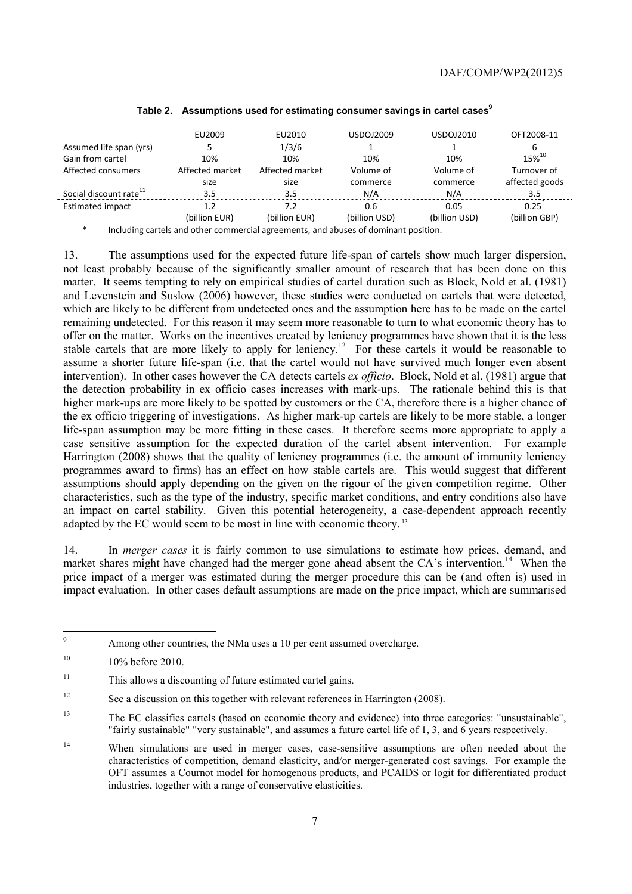|                                    | EU2009          | EU2010          | USDOJ2009     | USDOJ2010     | OFT2008-11     |
|------------------------------------|-----------------|-----------------|---------------|---------------|----------------|
| Assumed life span (yrs)            |                 | 1/3/6           |               |               |                |
| Gain from cartel                   | 10%             | 10%             | 10%           | 10%           | $15\%^{10}$    |
| Affected consumers                 | Affected market | Affected market | Volume of     | Volume of     | Turnover of    |
|                                    | size            | size            | commerce      | commerce      | affected goods |
| Social discount rate <sup>11</sup> | 3.5             | 3.5             | N/A           | N/A           | 3.5            |
| <b>Estimated impact</b>            | 1.2             | 7.2             | 0.6           | 0.05          | 0.25           |
|                                    | (billion EUR)   | (billion EUR)   | (billion USD) | (billion USD) | (billion GBP)  |

#### Table 2. Assumptions used for estimating consumer savings in cartel cases<sup>9</sup>

Including cartels and other commercial agreements, and abuses of dominant position.

13. The assumptions used for the expected future life-span of cartels show much larger dispersion, not least probably because of the significantly smaller amount of research that has been done on this matter. It seems tempting to rely on empirical studies of cartel duration such as Block, Nold et al. (1981) and Levenstein and Suslow (2006) however, these studies were conducted on cartels that were detected, which are likely to be different from undetected ones and the assumption here has to be made on the cartel remaining undetected. For this reason it may seem more reasonable to turn to what economic theory has to offer on the matter. Works on the incentives created by leniency programmes have shown that it is the less stable cartels that are more likely to apply for leniency.<sup>12</sup> For these cartels it would be reasonable to assume a shorter future life-span (i.e. that the cartel would not have survived much longer even absent intervention). In other cases however the CA detects cartels *ex officio*. Block, Nold et al. (1981) argue that the detection probability in ex officio cases increases with mark-ups. The rationale behind this is that higher mark-ups are more likely to be spotted by customers or the CA, therefore there is a higher chance of the ex officio triggering of investigations. As higher mark-up cartels are likely to be more stable, a longer life-span assumption may be more fitting in these cases. It therefore seems more appropriate to apply a case sensitive assumption for the expected duration of the cartel absent intervention. For example Harrington (2008) shows that the quality of leniency programmes (i.e. the amount of immunity leniency programmes award to firms) has an effect on how stable cartels are. This would suggest that different assumptions should apply depending on the given on the rigour of the given competition regime. Other characteristics, such as the type of the industry, specific market conditions, and entry conditions also have an impact on cartel stability. Given this potential heterogeneity, a case-dependent approach recently adapted by the EC would seem to be most in line with economic theory.<sup>13</sup>

14. In *merger cases* it is fairly common to use simulations to estimate how prices, demand, and market shares might have changed had the merger gone ahead absent the CA's intervention.<sup>14</sup> When the price impact of a merger was estimated during the merger procedure this can be (and often is) used in impact evaluation. In other cases default assumptions are made on the price impact, which are summarised

<sup>-&</sup>lt;br>9 Among other countries, the NMa uses a 10 per cent assumed overcharge.

 $10\%$  before 2010.

<sup>11</sup> This allows a discounting of future estimated cartel gains.

<sup>&</sup>lt;sup>12</sup> See a discussion on this together with relevant references in Harrington (2008).

<sup>13</sup> The EC classifies cartels (based on economic theory and evidence) into three categories: "unsustainable", "fairly sustainable" "very sustainable", and assumes a future cartel life of 1, 3, and 6 years respectively.

<sup>&</sup>lt;sup>14</sup> When simulations are used in merger cases, case-sensitive assumptions are often needed about the characteristics of competition, demand elasticity, and/or merger-generated cost savings. For example the OFT assumes a Cournot model for homogenous products, and PCAIDS or logit for differentiated product industries, together with a range of conservative elasticities.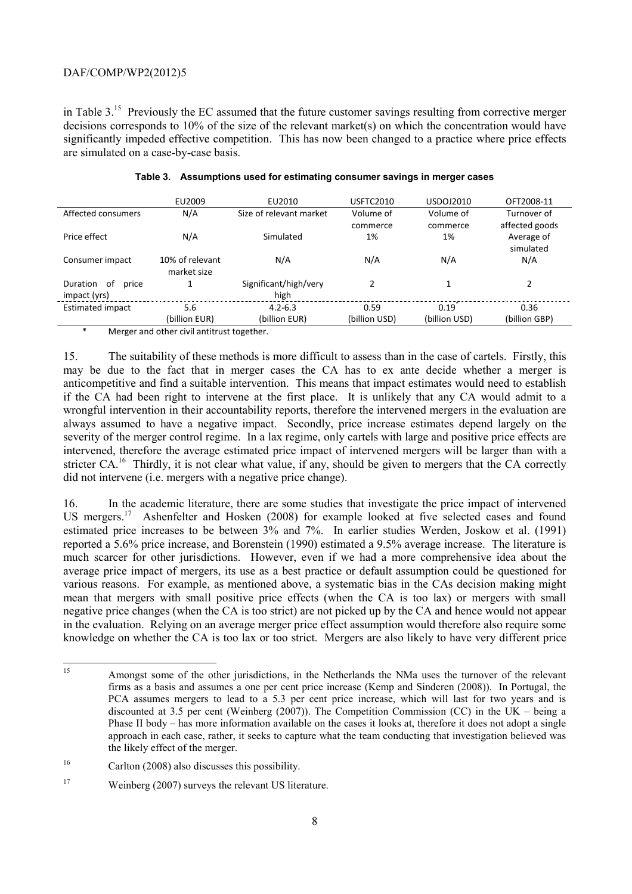in Table 3.15 Previously the EC assumed that the future customer savings resulting from corrective merger decisions corresponds to 10% of the size of the relevant market(s) on which the concentration would have significantly impeded effective competition. This has now been changed to a practice where price effects are simulated on a case-by-case basis.

|                                                             | EU2009          | EU2010                  | <b>USFTC2010</b> | USDOJ2010     | OFT2008-11     |
|-------------------------------------------------------------|-----------------|-------------------------|------------------|---------------|----------------|
| Affected consumers                                          | N/A             | Size of relevant market | Volume of        | Volume of     | Turnover of    |
|                                                             |                 |                         | commerce         | commerce      | affected goods |
| Price effect                                                | N/A             | Simulated               | 1%               | 1%            | Average of     |
|                                                             |                 |                         |                  |               | simulated      |
| Consumer impact                                             | 10% of relevant | N/A                     | N/A              | N/A           | N/A            |
|                                                             | market size     |                         |                  |               |                |
| Duration<br>of<br>price                                     |                 | Significant/high/very   | 2                |               |                |
| impact (yrs)                                                |                 | high                    |                  |               |                |
| <b>Estimated impact</b>                                     | 5.6             | $4.2 - 6.3$             | 0.59             | 0.19          | 0.36           |
|                                                             | (billion EUR)   | (billion EUR)           | (billion USD)    | (billion USD) | (billion GBP)  |
| $\ast$<br>Manager and attenue ability at the catholic state |                 |                         |                  |               |                |

### **Table 3. Assumptions used for estimating consumer savings in merger cases**

Merger and other civil antitrust together.

15. The suitability of these methods is more difficult to assess than in the case of cartels. Firstly, this may be due to the fact that in merger cases the CA has to ex ante decide whether a merger is anticompetitive and find a suitable intervention. This means that impact estimates would need to establish if the CA had been right to intervene at the first place. It is unlikely that any CA would admit to a wrongful intervention in their accountability reports, therefore the intervened mergers in the evaluation are always assumed to have a negative impact. Secondly, price increase estimates depend largely on the severity of the merger control regime. In a lax regime, only cartels with large and positive price effects are intervened, therefore the average estimated price impact of intervened mergers will be larger than with a stricter  $CA<sup>16</sup>$ . Thirdly, it is not clear what value, if any, should be given to mergers that the CA correctly did not intervene (i.e. mergers with a negative price change).

16. In the academic literature, there are some studies that investigate the price impact of intervened US mergers.<sup>17</sup> Ashenfelter and Hosken (2008) for example looked at five selected cases and found estimated price increases to be between 3% and 7%. In earlier studies Werden, Joskow et al. (1991) reported a 5.6% price increase, and Borenstein (1990) estimated a 9.5% average increase. The literature is much scarcer for other jurisdictions. However, even if we had a more comprehensive idea about the average price impact of mergers, its use as a best practice or default assumption could be questioned for various reasons. For example, as mentioned above, a systematic bias in the CAs decision making might mean that mergers with small positive price effects (when the CA is too lax) or mergers with small negative price changes (when the CA is too strict) are not picked up by the CA and hence would not appear in the evaluation. Relying on an average merger price effect assumption would therefore also require some knowledge on whether the CA is too lax or too strict. Mergers are also likely to have very different price

 $15<sup>15</sup>$ Amongst some of the other jurisdictions, in the Netherlands the NMa uses the turnover of the relevant firms as a basis and assumes a one per cent price increase (Kemp and Sinderen (2008)). In Portugal, the PCA assumes mergers to lead to a 5.3 per cent price increase, which will last for two years and is discounted at 3.5 per cent (Weinberg (2007)). The Competition Commission (CC) in the UK – being a Phase II body – has more information available on the cases it looks at, therefore it does not adopt a single approach in each case, rather, it seeks to capture what the team conducting that investigation believed was the likely effect of the merger.

<sup>16</sup> Carlton (2008) also discusses this possibility.

<sup>&</sup>lt;sup>17</sup> Weinberg (2007) surveys the relevant US literature.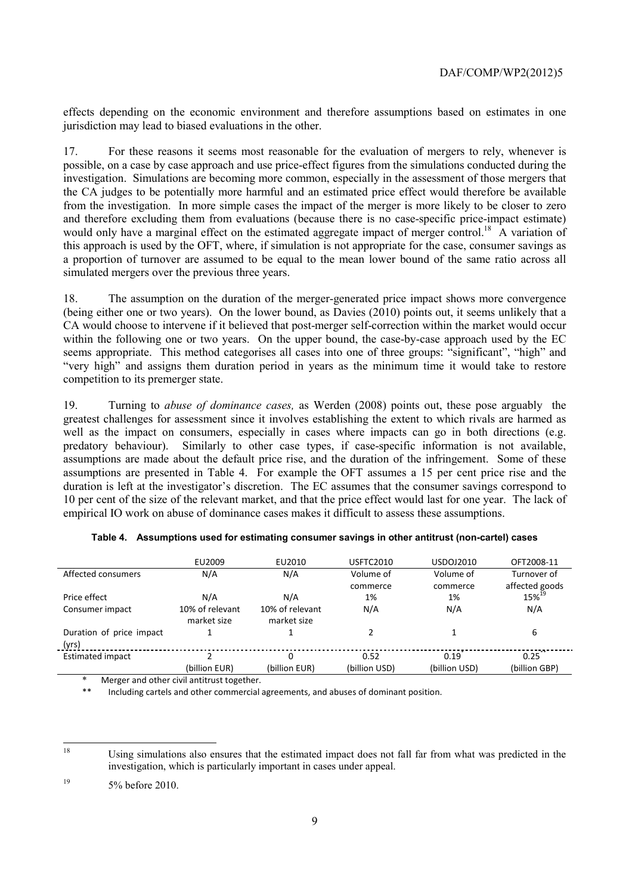effects depending on the economic environment and therefore assumptions based on estimates in one jurisdiction may lead to biased evaluations in the other.

17. For these reasons it seems most reasonable for the evaluation of mergers to rely, whenever is possible, on a case by case approach and use price-effect figures from the simulations conducted during the investigation. Simulations are becoming more common, especially in the assessment of those mergers that the CA judges to be potentially more harmful and an estimated price effect would therefore be available from the investigation. In more simple cases the impact of the merger is more likely to be closer to zero and therefore excluding them from evaluations (because there is no case-specific price-impact estimate) would only have a marginal effect on the estimated aggregate impact of merger control.<sup>18</sup> A variation of this approach is used by the OFT, where, if simulation is not appropriate for the case, consumer savings as a proportion of turnover are assumed to be equal to the mean lower bound of the same ratio across all simulated mergers over the previous three years.

18. The assumption on the duration of the merger-generated price impact shows more convergence (being either one or two years). On the lower bound, as Davies (2010) points out, it seems unlikely that a CA would choose to intervene if it believed that post-merger self-correction within the market would occur within the following one or two years. On the upper bound, the case-by-case approach used by the EC seems appropriate. This method categorises all cases into one of three groups: "significant", "high" and "very high" and assigns them duration period in years as the minimum time it would take to restore competition to its premerger state.

19. Turning to *abuse of dominance cases,* as Werden (2008) points out, these pose arguably the greatest challenges for assessment since it involves establishing the extent to which rivals are harmed as well as the impact on consumers, especially in cases where impacts can go in both directions (e.g. predatory behaviour). Similarly to other case types, if case-specific information is not available, assumptions are made about the default price rise, and the duration of the infringement. Some of these assumptions are presented in Table 4. For example the OFT assumes a 15 per cent price rise and the duration is left at the investigator's discretion. The EC assumes that the consumer savings correspond to 10 per cent of the size of the relevant market, and that the price effect would last for one year. The lack of empirical IO work on abuse of dominance cases makes it difficult to assess these assumptions.

|                          | EU2009          | EU2010          | <b>USFTC2010</b> | USDOJ2010     | OFT2008-11        |
|--------------------------|-----------------|-----------------|------------------|---------------|-------------------|
| Affected consumers       | N/A             | N/A             | Volume of        | Volume of     | Turnover of       |
|                          |                 |                 | commerce         | commerce      | affected goods    |
| Price effect             | N/A             | N/A             | 1%               | 1%            | 15% <sup>19</sup> |
| Consumer impact          | 10% of relevant | 10% of relevant | N/A              | N/A           | N/A               |
|                          | market size     | market size     |                  |               |                   |
| Duration of price impact |                 |                 |                  |               | 6                 |
| (yrs)                    |                 |                 |                  |               |                   |
| <b>Estimated impact</b>  |                 | 0               | 0.52             | 0.19          | 0.25              |
|                          | (billion EUR)   | (billion EUR)   | (billion USD)    | (billion USD) | (billion GBP)     |

|  | Table 4. Assumptions used for estimating consumer savings in other antitrust (non-cartel) cases |  |
|--|-------------------------------------------------------------------------------------------------|--|
|  |                                                                                                 |  |

Merger and other civil antitrust together.

Including cartels and other commercial agreements, and abuses of dominant position.

 $19$  5% before 2010.

<sup>18</sup> Using simulations also ensures that the estimated impact does not fall far from what was predicted in the investigation, which is particularly important in cases under appeal.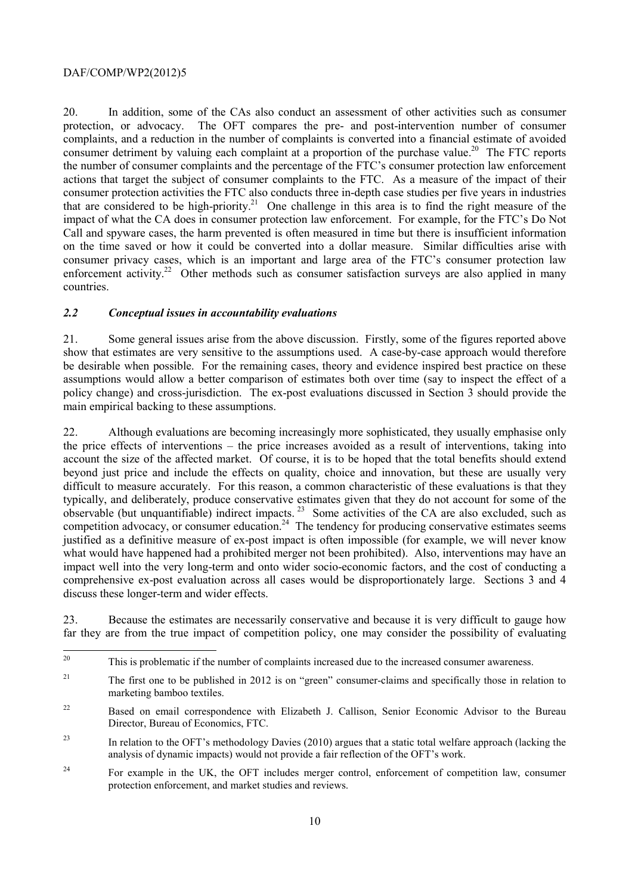20. In addition, some of the CAs also conduct an assessment of other activities such as consumer protection, or advocacy. The OFT compares the pre- and post-intervention number of consumer complaints, and a reduction in the number of complaints is converted into a financial estimate of avoided consumer detriment by valuing each complaint at a proportion of the purchase value.<sup>20</sup> The FTC reports the number of consumer complaints and the percentage of the FTC's consumer protection law enforcement actions that target the subject of consumer complaints to the FTC. As a measure of the impact of their consumer protection activities the FTC also conducts three in-depth case studies per five years in industries that are considered to be high-priority.<sup>21</sup> One challenge in this area is to find the right measure of the impact of what the CA does in consumer protection law enforcement. For example, for the FTC's Do Not Call and spyware cases, the harm prevented is often measured in time but there is insufficient information on the time saved or how it could be converted into a dollar measure. Similar difficulties arise with consumer privacy cases, which is an important and large area of the FTC's consumer protection law enforcement activity.<sup>22</sup> Other methods such as consumer satisfaction surveys are also applied in many countries.

## *2.2 Conceptual issues in accountability evaluations*

21. Some general issues arise from the above discussion. Firstly, some of the figures reported above show that estimates are very sensitive to the assumptions used. A case-by-case approach would therefore be desirable when possible. For the remaining cases, theory and evidence inspired best practice on these assumptions would allow a better comparison of estimates both over time (say to inspect the effect of a policy change) and cross-jurisdiction. The ex-post evaluations discussed in Section 3 should provide the main empirical backing to these assumptions.

22. Although evaluations are becoming increasingly more sophisticated, they usually emphasise only the price effects of interventions – the price increases avoided as a result of interventions, taking into account the size of the affected market. Of course, it is to be hoped that the total benefits should extend beyond just price and include the effects on quality, choice and innovation, but these are usually very difficult to measure accurately. For this reason, a common characteristic of these evaluations is that they typically, and deliberately, produce conservative estimates given that they do not account for some of the observable (but unquantifiable) indirect impacts.<sup>23</sup> Some activities of the CA are also excluded, such as competition advocacy, or consumer education.<sup>24</sup> The tendency for producing conservative estimates seems justified as a definitive measure of ex-post impact is often impossible (for example, we will never know what would have happened had a prohibited merger not been prohibited). Also, interventions may have an impact well into the very long-term and onto wider socio-economic factors, and the cost of conducting a comprehensive ex-post evaluation across all cases would be disproportionately large. Sections 3 and 4 discuss these longer-term and wider effects.

23. Because the estimates are necessarily conservative and because it is very difficult to gauge how far they are from the true impact of competition policy, one may consider the possibility of evaluating

 $20\,$ This is problematic if the number of complaints increased due to the increased consumer awareness.

<sup>&</sup>lt;sup>21</sup> The first one to be published in 2012 is on "green" consumer-claims and specifically those in relation to marketing bamboo textiles.

<sup>&</sup>lt;sup>22</sup> Based on email correspondence with Elizabeth J. Callison, Senior Economic Advisor to the Bureau Director, Bureau of Economics, FTC.

<sup>&</sup>lt;sup>23</sup> In relation to the OFT's methodology Davies (2010) argues that a static total welfare approach (lacking the analysis of dynamic impacts) would not provide a fair reflection of the OFT's work.

<sup>&</sup>lt;sup>24</sup> For example in the UK, the OFT includes merger control, enforcement of competition law, consumer protection enforcement, and market studies and reviews.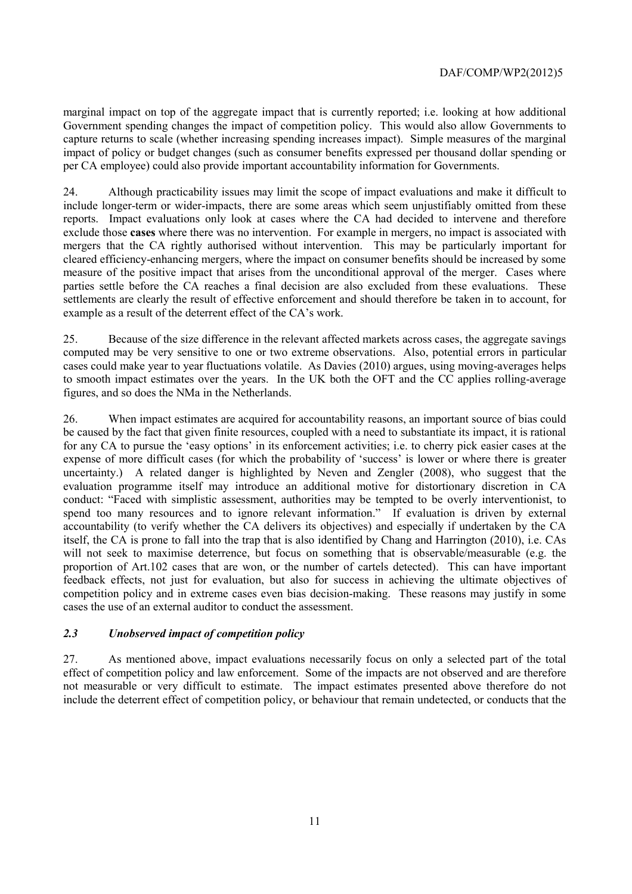marginal impact on top of the aggregate impact that is currently reported; i.e. looking at how additional Government spending changes the impact of competition policy. This would also allow Governments to capture returns to scale (whether increasing spending increases impact). Simple measures of the marginal impact of policy or budget changes (such as consumer benefits expressed per thousand dollar spending or per CA employee) could also provide important accountability information for Governments.

24. Although practicability issues may limit the scope of impact evaluations and make it difficult to include longer-term or wider-impacts, there are some areas which seem unjustifiably omitted from these reports. Impact evaluations only look at cases where the CA had decided to intervene and therefore exclude those **cases** where there was no intervention. For example in mergers, no impact is associated with mergers that the CA rightly authorised without intervention. This may be particularly important for cleared efficiency-enhancing mergers, where the impact on consumer benefits should be increased by some measure of the positive impact that arises from the unconditional approval of the merger. Cases where parties settle before the CA reaches a final decision are also excluded from these evaluations. These settlements are clearly the result of effective enforcement and should therefore be taken in to account, for example as a result of the deterrent effect of the CA's work.

25. Because of the size difference in the relevant affected markets across cases, the aggregate savings computed may be very sensitive to one or two extreme observations. Also, potential errors in particular cases could make year to year fluctuations volatile. As Davies (2010) argues, using moving-averages helps to smooth impact estimates over the years. In the UK both the OFT and the CC applies rolling-average figures, and so does the NMa in the Netherlands.

26. When impact estimates are acquired for accountability reasons, an important source of bias could be caused by the fact that given finite resources, coupled with a need to substantiate its impact, it is rational for any CA to pursue the 'easy options' in its enforcement activities; i.e. to cherry pick easier cases at the expense of more difficult cases (for which the probability of 'success' is lower or where there is greater uncertainty.) A related danger is highlighted by Neven and Zengler (2008), who suggest that the evaluation programme itself may introduce an additional motive for distortionary discretion in CA conduct: "Faced with simplistic assessment, authorities may be tempted to be overly interventionist, to spend too many resources and to ignore relevant information." If evaluation is driven by external accountability (to verify whether the CA delivers its objectives) and especially if undertaken by the CA itself, the CA is prone to fall into the trap that is also identified by Chang and Harrington (2010), i.e. CAs will not seek to maximise deterrence, but focus on something that is observable/measurable (e.g. the proportion of Art.102 cases that are won, or the number of cartels detected). This can have important feedback effects, not just for evaluation, but also for success in achieving the ultimate objectives of competition policy and in extreme cases even bias decision-making. These reasons may justify in some cases the use of an external auditor to conduct the assessment.

# *2.3 Unobserved impact of competition policy*

27. As mentioned above, impact evaluations necessarily focus on only a selected part of the total effect of competition policy and law enforcement. Some of the impacts are not observed and are therefore not measurable or very difficult to estimate. The impact estimates presented above therefore do not include the deterrent effect of competition policy, or behaviour that remain undetected, or conducts that the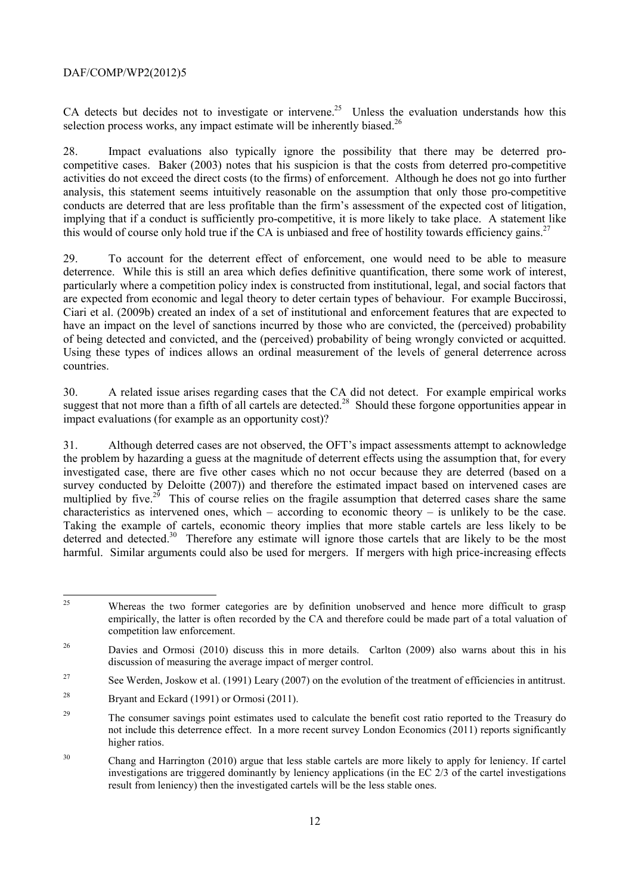CA detects but decides not to investigate or intervene.<sup>25</sup> Unless the evaluation understands how this selection process works, any impact estimate will be inherently biased.<sup>26</sup>

28. Impact evaluations also typically ignore the possibility that there may be deterred procompetitive cases. Baker (2003) notes that his suspicion is that the costs from deterred pro-competitive activities do not exceed the direct costs (to the firms) of enforcement. Although he does not go into further analysis, this statement seems intuitively reasonable on the assumption that only those pro-competitive conducts are deterred that are less profitable than the firm's assessment of the expected cost of litigation, implying that if a conduct is sufficiently pro-competitive, it is more likely to take place. A statement like this would of course only hold true if the CA is unbiased and free of hostility towards efficiency gains.<sup>27</sup>

29. To account for the deterrent effect of enforcement, one would need to be able to measure deterrence. While this is still an area which defies definitive quantification, there some work of interest, particularly where a competition policy index is constructed from institutional, legal, and social factors that are expected from economic and legal theory to deter certain types of behaviour. For example Buccirossi, Ciari et al. (2009b) created an index of a set of institutional and enforcement features that are expected to have an impact on the level of sanctions incurred by those who are convicted, the (perceived) probability of being detected and convicted, and the (perceived) probability of being wrongly convicted or acquitted. Using these types of indices allows an ordinal measurement of the levels of general deterrence across countries.

30. A related issue arises regarding cases that the CA did not detect. For example empirical works suggest that not more than a fifth of all cartels are detected.<sup>28</sup> Should these forgone opportunities appear in impact evaluations (for example as an opportunity cost)?

31. Although deterred cases are not observed, the OFT's impact assessments attempt to acknowledge the problem by hazarding a guess at the magnitude of deterrent effects using the assumption that, for every investigated case, there are five other cases which no not occur because they are deterred (based on a survey conducted by Deloitte (2007)) and therefore the estimated impact based on intervened cases are multiplied by five.<sup>29</sup> This of course relies on the fragile assumption that deterred cases share the same characteristics as intervened ones, which – according to economic theory – is unlikely to be the case. Taking the example of cartels, economic theory implies that more stable cartels are less likely to be deterred and detected.<sup>30</sup> Therefore any estimate will ignore those cartels that are likely to be the most harmful. Similar arguments could also be used for mergers. If mergers with high price-increasing effects

 $25$ 25 Whereas the two former categories are by definition unobserved and hence more difficult to grasp empirically, the latter is often recorded by the CA and therefore could be made part of a total valuation of competition law enforcement.

<sup>&</sup>lt;sup>26</sup> Davies and Ormosi (2010) discuss this in more details. Carlton (2009) also warns about this in his discussion of measuring the average impact of merger control.

<sup>&</sup>lt;sup>27</sup> See Werden, Joskow et al. (1991) Leary (2007) on the evolution of the treatment of efficiencies in antitrust.

<sup>&</sup>lt;sup>28</sup> Bryant and Eckard (1991) or Ormosi (2011).

<sup>&</sup>lt;sup>29</sup> The consumer savings point estimates used to calculate the benefit cost ratio reported to the Treasury do not include this deterrence effect. In a more recent survey London Economics (2011) reports significantly higher ratios.

<sup>&</sup>lt;sup>30</sup> Chang and Harrington (2010) argue that less stable cartels are more likely to apply for leniency. If cartel investigations are triggered dominantly by leniency applications (in the EC 2/3 of the cartel investigations result from leniency) then the investigated cartels will be the less stable ones.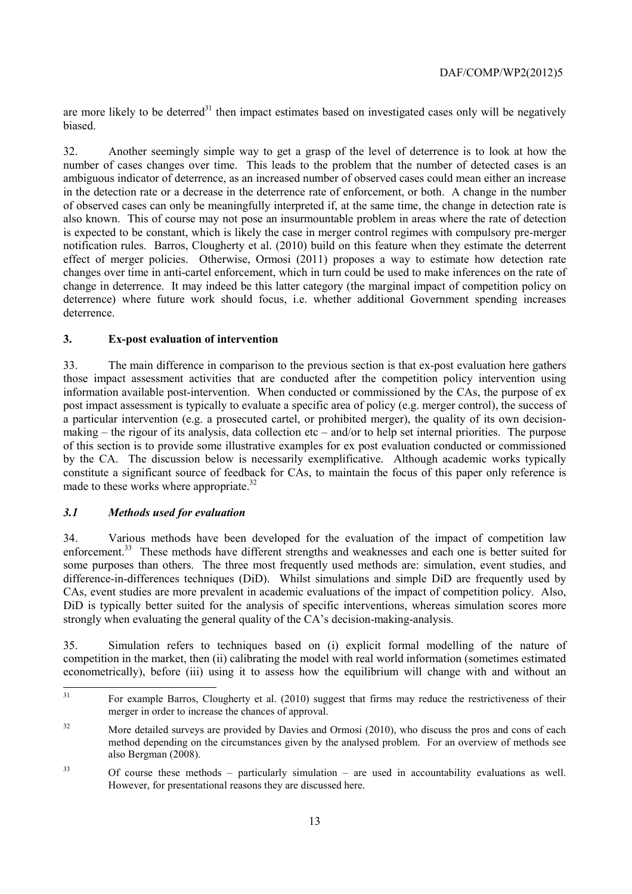are more likely to be deterred $31$  then impact estimates based on investigated cases only will be negatively biased.

32. Another seemingly simple way to get a grasp of the level of deterrence is to look at how the number of cases changes over time. This leads to the problem that the number of detected cases is an ambiguous indicator of deterrence, as an increased number of observed cases could mean either an increase in the detection rate or a decrease in the deterrence rate of enforcement, or both. A change in the number of observed cases can only be meaningfully interpreted if, at the same time, the change in detection rate is also known. This of course may not pose an insurmountable problem in areas where the rate of detection is expected to be constant, which is likely the case in merger control regimes with compulsory pre-merger notification rules. Barros, Clougherty et al. (2010) build on this feature when they estimate the deterrent effect of merger policies. Otherwise, Ormosi (2011) proposes a way to estimate how detection rate changes over time in anti-cartel enforcement, which in turn could be used to make inferences on the rate of change in deterrence. It may indeed be this latter category (the marginal impact of competition policy on deterrence) where future work should focus, i.e. whether additional Government spending increases deterrence.

## **3. Ex-post evaluation of intervention**

33. The main difference in comparison to the previous section is that ex-post evaluation here gathers those impact assessment activities that are conducted after the competition policy intervention using information available post-intervention. When conducted or commissioned by the CAs, the purpose of ex post impact assessment is typically to evaluate a specific area of policy (e.g. merger control), the success of a particular intervention (e.g. a prosecuted cartel, or prohibited merger), the quality of its own decisionmaking – the rigour of its analysis, data collection etc – and/or to help set internal priorities. The purpose of this section is to provide some illustrative examples for ex post evaluation conducted or commissioned by the CA. The discussion below is necessarily exemplificative. Although academic works typically constitute a significant source of feedback for CAs, to maintain the focus of this paper only reference is made to these works where appropriate.<sup>32</sup>

## *3.1 Methods used for evaluation*

34. Various methods have been developed for the evaluation of the impact of competition law enforcement.<sup>33</sup> These methods have different strengths and weaknesses and each one is better suited for some purposes than others. The three most frequently used methods are: simulation, event studies, and difference-in-differences techniques (DiD). Whilst simulations and simple DiD are frequently used by CAs, event studies are more prevalent in academic evaluations of the impact of competition policy. Also, DiD is typically better suited for the analysis of specific interventions, whereas simulation scores more strongly when evaluating the general quality of the CA's decision-making-analysis.

35. Simulation refers to techniques based on (i) explicit formal modelling of the nature of competition in the market, then (ii) calibrating the model with real world information (sometimes estimated econometrically), before (iii) using it to assess how the equilibrium will change with and without an

 $31$ 31 For example Barros, Clougherty et al. (2010) suggest that firms may reduce the restrictiveness of their merger in order to increase the chances of approval.

<sup>&</sup>lt;sup>32</sup> More detailed surveys are provided by Davies and Ormosi (2010), who discuss the pros and cons of each method depending on the circumstances given by the analysed problem. For an overview of methods see also Bergman (2008).

<sup>33</sup> Of course these methods – particularly simulation – are used in accountability evaluations as well. However, for presentational reasons they are discussed here.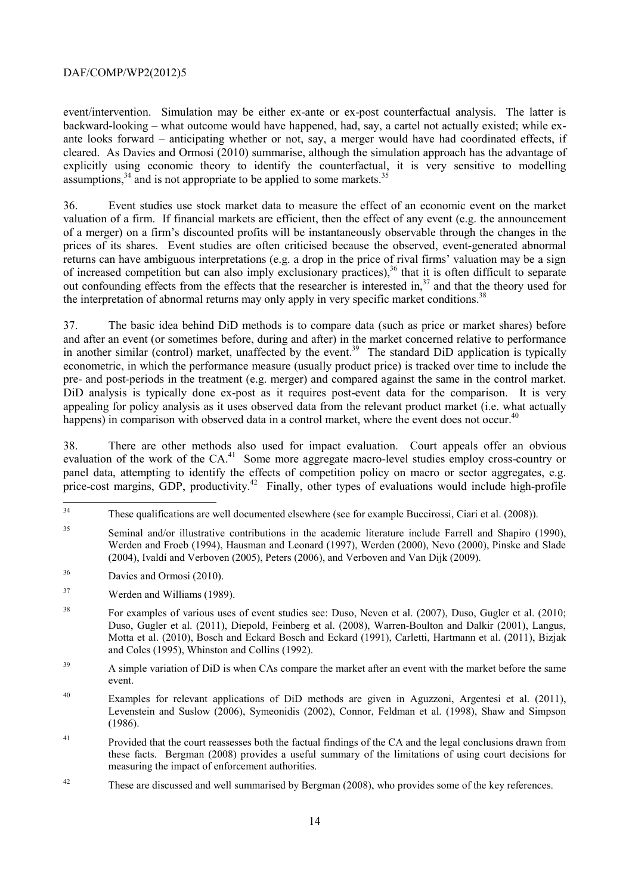event/intervention. Simulation may be either ex-ante or ex-post counterfactual analysis. The latter is backward-looking – what outcome would have happened, had, say, a cartel not actually existed; while exante looks forward – anticipating whether or not, say, a merger would have had coordinated effects, if cleared. As Davies and Ormosi (2010) summarise, although the simulation approach has the advantage of explicitly using economic theory to identify the counterfactual, it is very sensitive to modelling assumptions,<sup>34</sup> and is not appropriate to be applied to some markets.<sup>3</sup>

36. Event studies use stock market data to measure the effect of an economic event on the market valuation of a firm. If financial markets are efficient, then the effect of any event (e.g. the announcement of a merger) on a firm's discounted profits will be instantaneously observable through the changes in the prices of its shares. Event studies are often criticised because the observed, event-generated abnormal returns can have ambiguous interpretations (e.g. a drop in the price of rival firms' valuation may be a sign of increased competition but can also imply exclusionary practices),<sup>36</sup> that it is often difficult to separate out confounding effects from the effects that the researcher is interested in,<sup>37</sup> and that the theory used for the interpretation of abnormal returns may only apply in very specific market conditions.<sup>38</sup>

37. The basic idea behind DiD methods is to compare data (such as price or market shares) before and after an event (or sometimes before, during and after) in the market concerned relative to performance in another similar (control) market, unaffected by the event.<sup>39</sup> The standard DiD application is typically econometric, in which the performance measure (usually product price) is tracked over time to include the pre- and post-periods in the treatment (e.g. merger) and compared against the same in the control market. DiD analysis is typically done ex-post as it requires post-event data for the comparison. It is very appealing for policy analysis as it uses observed data from the relevant product market (i.e. what actually happens) in comparison with observed data in a control market, where the event does not occur.<sup>40</sup>

38. There are other methods also used for impact evaluation. Court appeals offer an obvious evaluation of the work of the CA.<sup>41</sup> Some more aggregate macro-level studies employ cross-country or panel data, attempting to identify the effects of competition policy on macro or sector aggregates, e.g. price-cost margins, GDP, productivity.<sup>42</sup> Finally, other types of evaluations would include high-profile

 $34$ These qualifications are well documented elsewhere (see for example Buccirossi, Ciari et al. (2008)).

<sup>&</sup>lt;sup>35</sup> Seminal and/or illustrative contributions in the academic literature include Farrell and Shapiro (1990), Werden and Froeb (1994), Hausman and Leonard (1997), Werden (2000), Nevo (2000), Pinske and Slade (2004), Ivaldi and Verboven (2005), Peters (2006), and Verboven and Van Dijk (2009).

<sup>36</sup> Davies and Ormosi (2010).

<sup>37</sup> Werden and Williams (1989).

<sup>38</sup> For examples of various uses of event studies see: Duso, Neven et al. (2007), Duso, Gugler et al. (2010; Duso, Gugler et al. (2011), Diepold, Feinberg et al. (2008), Warren-Boulton and Dalkir (2001), Langus, Motta et al. (2010), Bosch and Eckard Bosch and Eckard (1991), Carletti, Hartmann et al. (2011), Bizjak and Coles (1995), Whinston and Collins (1992).

<sup>&</sup>lt;sup>39</sup> A simple variation of DiD is when CAs compare the market after an event with the market before the same event.

<sup>40</sup> Examples for relevant applications of DiD methods are given in Aguzzoni, Argentesi et al. (2011), Levenstein and Suslow (2006), Symeonidis (2002), Connor, Feldman et al. (1998), Shaw and Simpson (1986).

<sup>&</sup>lt;sup>41</sup> Provided that the court reassesses both the factual findings of the CA and the legal conclusions drawn from these facts. Bergman (2008) provides a useful summary of the limitations of using court decisions for measuring the impact of enforcement authorities.

<sup>&</sup>lt;sup>42</sup> These are discussed and well summarised by Bergman (2008), who provides some of the key references.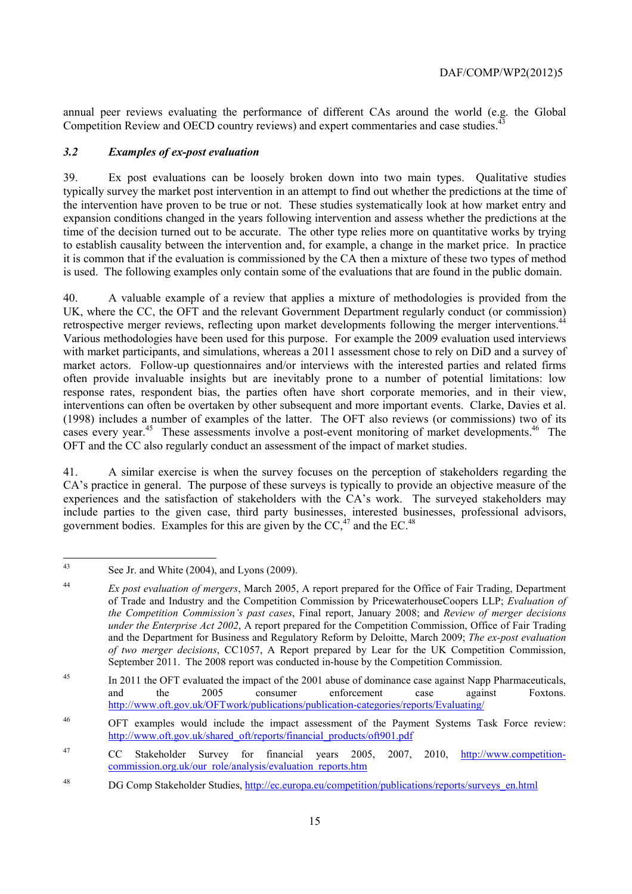annual peer reviews evaluating the performance of different CAs around the world (e.g. the Global Competition Review and OECD country reviews) and expert commentaries and case studies.

## *3.2 Examples of ex-post evaluation*

39. Ex post evaluations can be loosely broken down into two main types. Qualitative studies typically survey the market post intervention in an attempt to find out whether the predictions at the time of the intervention have proven to be true or not. These studies systematically look at how market entry and expansion conditions changed in the years following intervention and assess whether the predictions at the time of the decision turned out to be accurate. The other type relies more on quantitative works by trying to establish causality between the intervention and, for example, a change in the market price. In practice it is common that if the evaluation is commissioned by the CA then a mixture of these two types of method is used. The following examples only contain some of the evaluations that are found in the public domain.

40. A valuable example of a review that applies a mixture of methodologies is provided from the UK, where the CC, the OFT and the relevant Government Department regularly conduct (or commission) retrospective merger reviews, reflecting upon market developments following the merger interventions.<sup>44</sup> Various methodologies have been used for this purpose. For example the 2009 evaluation used interviews with market participants, and simulations, whereas a 2011 assessment chose to rely on DiD and a survey of market actors. Follow-up questionnaires and/or interviews with the interested parties and related firms often provide invaluable insights but are inevitably prone to a number of potential limitations: low response rates, respondent bias, the parties often have short corporate memories, and in their view, interventions can often be overtaken by other subsequent and more important events. Clarke, Davies et al. (1998) includes a number of examples of the latter. The OFT also reviews (or commissions) two of its cases every year.<sup>45</sup> These assessments involve a post-event monitoring of market developments.<sup>46</sup> The OFT and the CC also regularly conduct an assessment of the impact of market studies.

41. A similar exercise is when the survey focuses on the perception of stakeholders regarding the CA's practice in general. The purpose of these surveys is typically to provide an objective measure of the experiences and the satisfaction of stakeholders with the CA's work. The surveyed stakeholders may include parties to the given case, third party businesses, interested businesses, professional advisors, government bodies. Examples for this are given by the  $CC<sub>1</sub><sup>47</sup>$  and the EC.<sup>48</sup>

 $43$ See Jr. and White  $(2004)$ , and Lyons  $(2009)$ .

<sup>44</sup> *Ex post evaluation of mergers*, March 2005, A report prepared for the Office of Fair Trading, Department of Trade and Industry and the Competition Commission by PricewaterhouseCoopers LLP; *Evaluation of the Competition Commission's past cases*, Final report, January 2008; and *Review of merger decisions under the Enterprise Act 2002*, A report prepared for the Competition Commission, Office of Fair Trading and the Department for Business and Regulatory Reform by Deloitte, March 2009; *The ex-post evaluation of two merger decisions*, CC1057, A Report prepared by Lear for the UK Competition Commission, September 2011. The 2008 report was conducted in-house by the Competition Commission.

<sup>&</sup>lt;sup>45</sup> In 2011 the OFT evaluated the impact of the 2001 abuse of dominance case against Napp Pharmaceuticals, and the 2005 consumer enforcement case against Foxtons. http://www.oft.gov.uk/OFTwork/publications/publication-categories/reports/Evaluating/

<sup>46</sup> OFT examples would include the impact assessment of the Payment Systems Task Force review: http://www.oft.gov.uk/shared\_oft/reports/financial\_products/oft901.pdf

<sup>47</sup> CC Stakeholder Survey for financial years 2005, 2007, 2010, http://www.competitioncommission.org.uk/our\_role/analysis/evaluation\_reports.htm

<sup>48</sup> DG Comp Stakeholder Studies, http://ec.europa.eu/competition/publications/reports/surveys\_en.html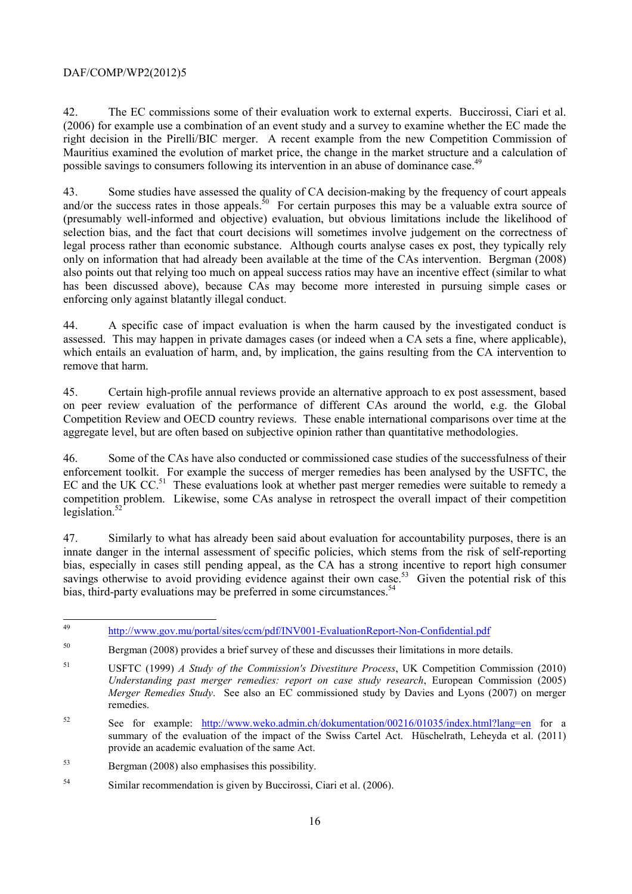42. The EC commissions some of their evaluation work to external experts. Buccirossi, Ciari et al. (2006) for example use a combination of an event study and a survey to examine whether the EC made the right decision in the Pirelli/BIC merger. A recent example from the new Competition Commission of Mauritius examined the evolution of market price, the change in the market structure and a calculation of possible savings to consumers following its intervention in an abuse of dominance case.<sup>49</sup>

43. Some studies have assessed the quality of CA decision-making by the frequency of court appeals and/or the success rates in those appeals.<sup>50</sup> For certain purposes this may be a valuable extra source of (presumably well-informed and objective) evaluation, but obvious limitations include the likelihood of selection bias, and the fact that court decisions will sometimes involve judgement on the correctness of legal process rather than economic substance. Although courts analyse cases ex post, they typically rely only on information that had already been available at the time of the CAs intervention. Bergman (2008) also points out that relying too much on appeal success ratios may have an incentive effect (similar to what has been discussed above), because CAs may become more interested in pursuing simple cases or enforcing only against blatantly illegal conduct.

44. A specific case of impact evaluation is when the harm caused by the investigated conduct is assessed. This may happen in private damages cases (or indeed when a CA sets a fine, where applicable), which entails an evaluation of harm, and, by implication, the gains resulting from the CA intervention to remove that harm.

45. Certain high-profile annual reviews provide an alternative approach to ex post assessment, based on peer review evaluation of the performance of different CAs around the world, e.g. the Global Competition Review and OECD country reviews. These enable international comparisons over time at the aggregate level, but are often based on subjective opinion rather than quantitative methodologies.

46. Some of the CAs have also conducted or commissioned case studies of the successfulness of their enforcement toolkit. For example the success of merger remedies has been analysed by the USFTC, the EC and the UK  $CC<sub>51</sub>$ . These evaluations look at whether past merger remedies were suitable to remedy a competition problem. Likewise, some CAs analyse in retrospect the overall impact of their competition legislation. $52$ 

47. Similarly to what has already been said about evaluation for accountability purposes, there is an innate danger in the internal assessment of specific policies, which stems from the risk of self-reporting bias, especially in cases still pending appeal, as the CA has a strong incentive to report high consumer savings otherwise to avoid providing evidence against their own case.<sup>53</sup> Given the potential risk of this bias, third-party evaluations may be preferred in some circumstances.<sup>54</sup>

52 See for example: http://www.weko.admin.ch/dokumentation/00216/01035/index.html?lang=en for a summary of the evaluation of the impact of the Swiss Cartel Act. Hüschelrath, Leheyda et al. (2011) provide an academic evaluation of the same Act.

53 Bergman (2008) also emphasises this possibility.

 $\overline{49}$ http://www.gov.mu/portal/sites/ccm/pdf/INV001-EvaluationReport-Non-Confidential.pdf

<sup>&</sup>lt;sup>50</sup> Bergman (2008) provides a brief survey of these and discusses their limitations in more details.

<sup>51</sup> USFTC (1999) *A Study of the Commission's Divestiture Process*, UK Competition Commission (2010) *Understanding past merger remedies: report on case study research*, European Commission (2005) *Merger Remedies Study*. See also an EC commissioned study by Davies and Lyons (2007) on merger remedies.

<sup>54</sup> Similar recommendation is given by Buccirossi, Ciari et al. (2006).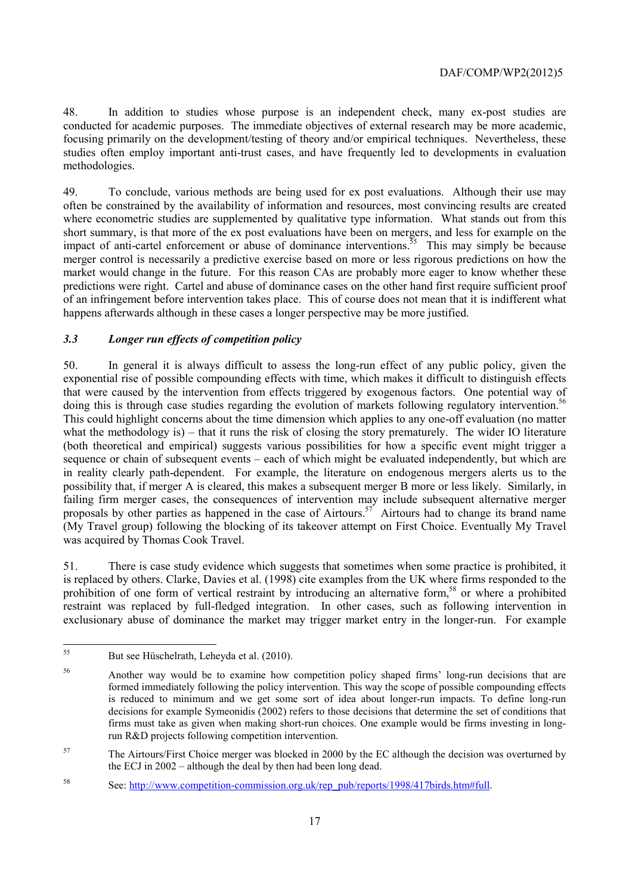48. In addition to studies whose purpose is an independent check, many ex-post studies are conducted for academic purposes. The immediate objectives of external research may be more academic, focusing primarily on the development/testing of theory and/or empirical techniques. Nevertheless, these studies often employ important anti-trust cases, and have frequently led to developments in evaluation methodologies.

49. To conclude, various methods are being used for ex post evaluations. Although their use may often be constrained by the availability of information and resources, most convincing results are created where econometric studies are supplemented by qualitative type information. What stands out from this short summary, is that more of the ex post evaluations have been on mergers, and less for example on the impact of anti-cartel enforcement or abuse of dominance interventions.<sup>55</sup> This may simply be because merger control is necessarily a predictive exercise based on more or less rigorous predictions on how the market would change in the future. For this reason CAs are probably more eager to know whether these predictions were right. Cartel and abuse of dominance cases on the other hand first require sufficient proof of an infringement before intervention takes place. This of course does not mean that it is indifferent what happens afterwards although in these cases a longer perspective may be more justified.

## *3.3 Longer run effects of competition policy*

50. In general it is always difficult to assess the long-run effect of any public policy, given the exponential rise of possible compounding effects with time, which makes it difficult to distinguish effects that were caused by the intervention from effects triggered by exogenous factors. One potential way of doing this is through case studies regarding the evolution of markets following regulatory intervention.<sup>56</sup> This could highlight concerns about the time dimension which applies to any one-off evaluation (no matter what the methodology is) – that it runs the risk of closing the story prematurely. The wider IO literature (both theoretical and empirical) suggests various possibilities for how a specific event might trigger a sequence or chain of subsequent events – each of which might be evaluated independently, but which are in reality clearly path-dependent. For example, the literature on endogenous mergers alerts us to the possibility that, if merger A is cleared, this makes a subsequent merger B more or less likely. Similarly, in failing firm merger cases, the consequences of intervention may include subsequent alternative merger proposals by other parties as happened in the case of Airtours.57 Airtours had to change its brand name (My Travel group) following the blocking of its takeover attempt on First Choice. Eventually My Travel was acquired by Thomas Cook Travel.

51. There is case study evidence which suggests that sometimes when some practice is prohibited, it is replaced by others. Clarke, Davies et al. (1998) cite examples from the UK where firms responded to the prohibition of one form of vertical restraint by introducing an alternative form,<sup>58</sup> or where a prohibited restraint was replaced by full-fledged integration. In other cases, such as following intervention in exclusionary abuse of dominance the market may trigger market entry in the longer-run. For example

<sup>55</sup> But see Hüschelrath, Leheyda et al. (2010).

<sup>56</sup> Another way would be to examine how competition policy shaped firms' long-run decisions that are formed immediately following the policy intervention. This way the scope of possible compounding effects is reduced to minimum and we get some sort of idea about longer-run impacts. To define long-run decisions for example Symeonidis (2002) refers to those decisions that determine the set of conditions that firms must take as given when making short-run choices. One example would be firms investing in longrun R&D projects following competition intervention.

<sup>&</sup>lt;sup>57</sup> The Airtours/First Choice merger was blocked in 2000 by the EC although the decision was overturned by the ECJ in 2002 – although the deal by then had been long dead.

<sup>58</sup> See: http://www.competition-commission.org.uk/rep\_pub/reports/1998/417birds.htm#full.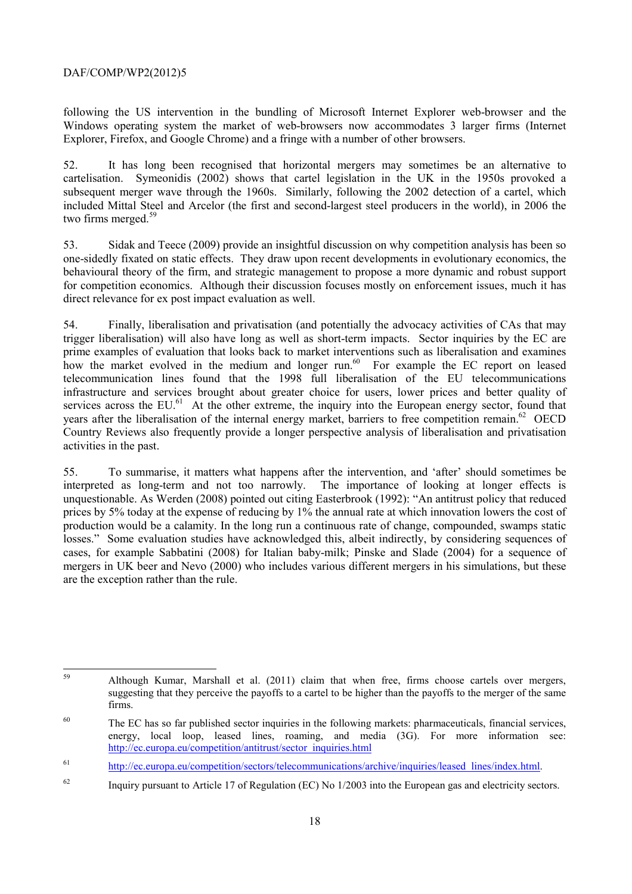following the US intervention in the bundling of Microsoft Internet Explorer web-browser and the Windows operating system the market of web-browsers now accommodates 3 larger firms (Internet Explorer, Firefox, and Google Chrome) and a fringe with a number of other browsers.

52. It has long been recognised that horizontal mergers may sometimes be an alternative to cartelisation. Symeonidis (2002) shows that cartel legislation in the UK in the 1950s provoked a subsequent merger wave through the 1960s. Similarly, following the 2002 detection of a cartel, which included Mittal Steel and Arcelor (the first and second-largest steel producers in the world), in 2006 the two firms merged.<sup>59</sup>

53. Sidak and Teece (2009) provide an insightful discussion on why competition analysis has been so one-sidedly fixated on static effects. They draw upon recent developments in evolutionary economics, the behavioural theory of the firm, and strategic management to propose a more dynamic and robust support for competition economics. Although their discussion focuses mostly on enforcement issues, much it has direct relevance for ex post impact evaluation as well.

54. Finally, liberalisation and privatisation (and potentially the advocacy activities of CAs that may trigger liberalisation) will also have long as well as short-term impacts. Sector inquiries by the EC are prime examples of evaluation that looks back to market interventions such as liberalisation and examines how the market evolved in the medium and longer run.<sup>60</sup> For example the EC report on leased telecommunication lines found that the 1998 full liberalisation of the EU telecommunications infrastructure and services brought about greater choice for users, lower prices and better quality of services across the EU.<sup>61</sup> At the other extreme, the inquiry into the European energy sector, found that years after the liberalisation of the internal energy market, barriers to free competition remain.<sup>62</sup> OECD Country Reviews also frequently provide a longer perspective analysis of liberalisation and privatisation activities in the past.

55. To summarise, it matters what happens after the intervention, and 'after' should sometimes be interpreted as long-term and not too narrowly. The importance of looking at longer effects is unquestionable. As Werden (2008) pointed out citing Easterbrook (1992): "An antitrust policy that reduced prices by 5% today at the expense of reducing by 1% the annual rate at which innovation lowers the cost of production would be a calamity. In the long run a continuous rate of change, compounded, swamps static losses." Some evaluation studies have acknowledged this, albeit indirectly, by considering sequences of cases, for example Sabbatini (2008) for Italian baby-milk; Pinske and Slade (2004) for a sequence of mergers in UK beer and Nevo (2000) who includes various different mergers in his simulations, but these are the exception rather than the rule.

<sup>59</sup> 59 Although Kumar, Marshall et al. (2011) claim that when free, firms choose cartels over mergers, suggesting that they perceive the payoffs to a cartel to be higher than the payoffs to the merger of the same firms.

<sup>&</sup>lt;sup>60</sup> The EC has so far published sector inquiries in the following markets: pharmaceuticals, financial services, energy, local loop, leased lines, roaming, and media (3G). For more information see: http://ec.europa.eu/competition/antitrust/sector\_inquiries.html

<sup>61</sup> http://ec.europa.eu/competition/sectors/telecommunications/archive/inquiries/leased\_lines/index.html.

<sup>&</sup>lt;sup>62</sup> Inquiry pursuant to Article 17 of Regulation (EC) No 1/2003 into the European gas and electricity sectors.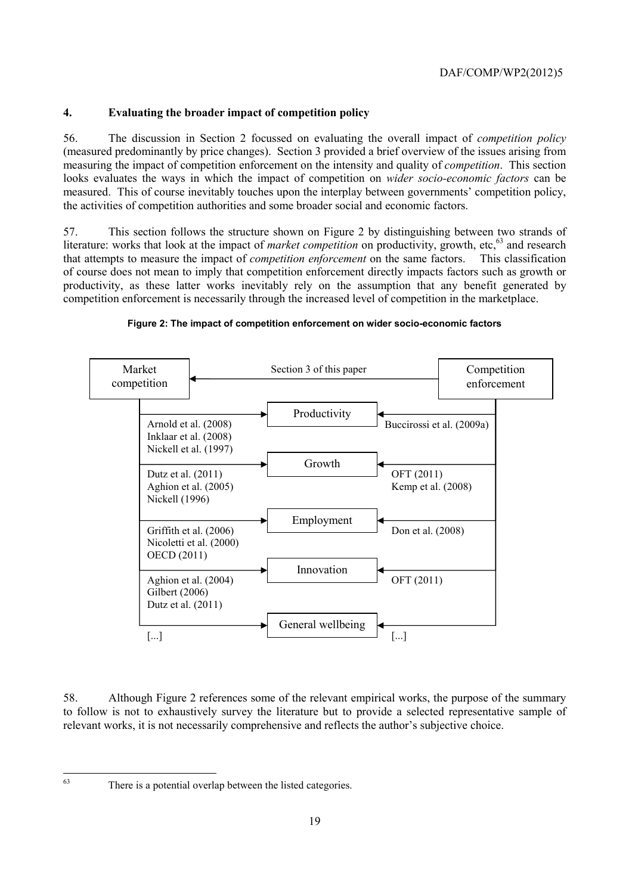## **4. Evaluating the broader impact of competition policy**

56. The discussion in Section 2 focussed on evaluating the overall impact of *competition policy* (measured predominantly by price changes). Section 3 provided a brief overview of the issues arising from measuring the impact of competition enforcement on the intensity and quality of *competition*. This section looks evaluates the ways in which the impact of competition on *wider socio-economic factors* can be measured. This of course inevitably touches upon the interplay between governments' competition policy, the activities of competition authorities and some broader social and economic factors.

57. This section follows the structure shown on Figure 2 by distinguishing between two strands of literature: works that look at the impact of *market competition* on productivity, growth, etc,<sup>63</sup> and research that attempts to measure the impact of *competition enforcement* on the same factors. This classification of course does not mean to imply that competition enforcement directly impacts factors such as growth or productivity, as these latter works inevitably rely on the assumption that any benefit generated by competition enforcement is necessarily through the increased level of competition in the marketplace.



#### **Figure 2: The impact of competition enforcement on wider socio-economic factors**

58. Although Figure 2 references some of the relevant empirical works, the purpose of the summary to follow is not to exhaustively survey the literature but to provide a selected representative sample of relevant works, it is not necessarily comprehensive and reflects the author's subjective choice.

63

There is a potential overlap between the listed categories.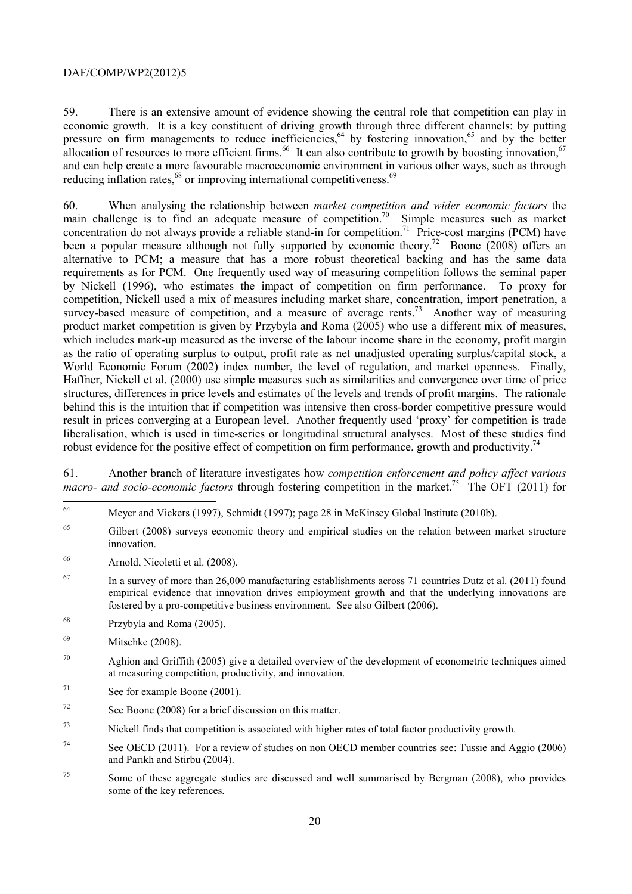59. There is an extensive amount of evidence showing the central role that competition can play in economic growth. It is a key constituent of driving growth through three different channels: by putting pressure on firm managements to reduce inefficiencies,  $64$  by fostering innovation,  $65$  and by the better allocation of resources to more efficient firms.<sup>66</sup> It can also contribute to growth by boosting innovation,<sup>67</sup> and can help create a more favourable macroeconomic environment in various other ways, such as through reducing inflation rates,<sup>68</sup> or improving international competitiveness.<sup>69</sup>

60. When analysing the relationship between *market competition and wider economic factors* the main challenge is to find an adequate measure of competition.<sup>70</sup> Simple measures such as market concentration do not always provide a reliable stand-in for competition.<sup>71</sup> Price-cost margins (PCM) have been a popular measure although not fully supported by economic theory.<sup>72</sup> Boone (2008) offers an alternative to PCM; a measure that has a more robust theoretical backing and has the same data requirements as for PCM. One frequently used way of measuring competition follows the seminal paper by Nickell (1996), who estimates the impact of competition on firm performance. To proxy for competition, Nickell used a mix of measures including market share, concentration, import penetration, a survey-based measure of competition, and a measure of average rents.<sup>73</sup> Another way of measuring product market competition is given by Przybyla and Roma (2005) who use a different mix of measures, which includes mark-up measured as the inverse of the labour income share in the economy, profit margin as the ratio of operating surplus to output, profit rate as net unadjusted operating surplus/capital stock, a World Economic Forum (2002) index number, the level of regulation, and market openness. Finally, Haffner, Nickell et al. (2000) use simple measures such as similarities and convergence over time of price structures, differences in price levels and estimates of the levels and trends of profit margins. The rationale behind this is the intuition that if competition was intensive then cross-border competitive pressure would result in prices converging at a European level. Another frequently used 'proxy' for competition is trade liberalisation, which is used in time-series or longitudinal structural analyses. Most of these studies find robust evidence for the positive effect of competition on firm performance, growth and productivity.<sup>74</sup>

61. Another branch of literature investigates how *competition enforcement and policy affect various macro- and socio-economic factors* through fostering competition in the market.<sup>75</sup> The OFT (2011) for

- <sup>65</sup> Gilbert (2008) surveys economic theory and empirical studies on the relation between market structure innovation.
- 66 Arnold, Nicoletti et al. (2008).
- <sup>67</sup> In a survey of more than 26,000 manufacturing establishments across 71 countries Dutz et al. (2011) found empirical evidence that innovation drives employment growth and that the underlying innovations are fostered by a pro-competitive business environment. See also Gilbert (2006).
- 68 Przybyla and Roma (2005).

- 71 See for example Boone (2001).
- 72 See Boone (2008) for a brief discussion on this matter.
- $73$  Nickell finds that competition is associated with higher rates of total factor productivity growth.
- <sup>74</sup> See OECD (2011). For a review of studies on non OECD member countries see: Tussie and Aggio (2006) and Parikh and Stirbu (2004).
- <sup>75</sup> Some of these aggregate studies are discussed and well summarised by Bergman (2008), who provides some of the key references.

<sup>64</sup> 64 Meyer and Vickers (1997), Schmidt (1997); page 28 in McKinsey Global Institute (2010b).

<sup>69</sup> Mitschke (2008).

 $70$  Aghion and Griffith (2005) give a detailed overview of the development of econometric techniques aimed at measuring competition, productivity, and innovation.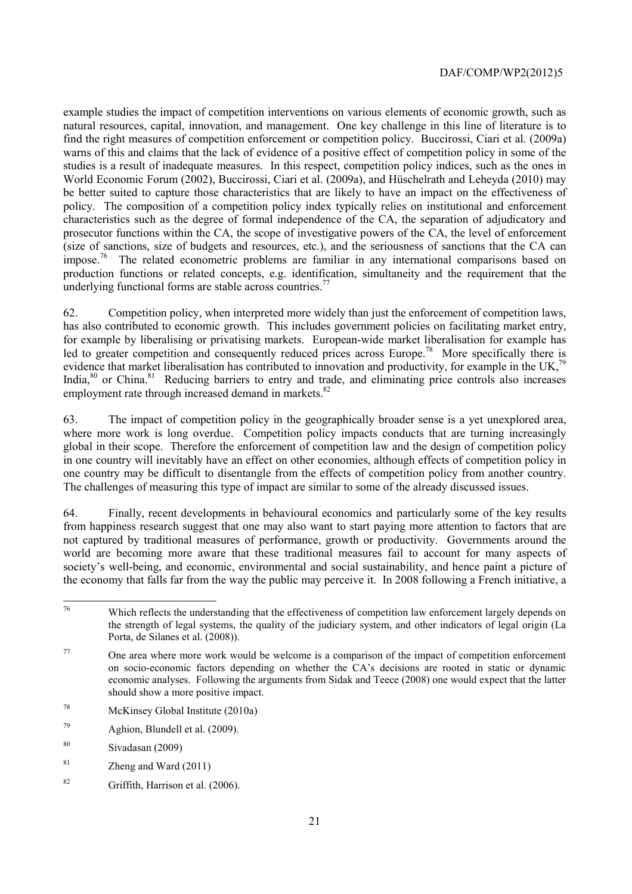example studies the impact of competition interventions on various elements of economic growth, such as natural resources, capital, innovation, and management. One key challenge in this line of literature is to find the right measures of competition enforcement or competition policy. Buccirossi, Ciari et al. (2009a) warns of this and claims that the lack of evidence of a positive effect of competition policy in some of the studies is a result of inadequate measures. In this respect, competition policy indices, such as the ones in World Economic Forum (2002), Buccirossi, Ciari et al. (2009a), and Hüschelrath and Leheyda (2010) may be better suited to capture those characteristics that are likely to have an impact on the effectiveness of policy. The composition of a competition policy index typically relies on institutional and enforcement characteristics such as the degree of formal independence of the CA, the separation of adjudicatory and prosecutor functions within the CA, the scope of investigative powers of the CA, the level of enforcement (size of sanctions, size of budgets and resources, etc.), and the seriousness of sanctions that the CA can impose.<sup>76</sup> The related econometric problems are familiar in any international comparisons based on production functions or related concepts, e.g. identification, simultaneity and the requirement that the underlying functional forms are stable across countries.<sup>77</sup>

62. Competition policy, when interpreted more widely than just the enforcement of competition laws, has also contributed to economic growth. This includes government policies on facilitating market entry, for example by liberalising or privatising markets. European-wide market liberalisation for example has led to greater competition and consequently reduced prices across Europe.<sup>78</sup> More specifically there is evidence that market liberalisation has contributed to innovation and productivity, for example in the UK,<sup>79</sup> India,<sup>80</sup> or China.<sup>81</sup> Reducing barriers to entry and trade, and eliminating price controls also increases employment rate through increased demand in markets.<sup>82</sup>

63. The impact of competition policy in the geographically broader sense is a yet unexplored area, where more work is long overdue. Competition policy impacts conducts that are turning increasingly global in their scope. Therefore the enforcement of competition law and the design of competition policy in one country will inevitably have an effect on other economies, although effects of competition policy in one country may be difficult to disentangle from the effects of competition policy from another country. The challenges of measuring this type of impact are similar to some of the already discussed issues.

64. Finally, recent developments in behavioural economics and particularly some of the key results from happiness research suggest that one may also want to start paying more attention to factors that are not captured by traditional measures of performance, growth or productivity. Governments around the world are becoming more aware that these traditional measures fail to account for many aspects of society's well-being, and economic, environmental and social sustainability, and hence paint a picture of the economy that falls far from the way the public may perceive it. In 2008 following a French initiative, a

- 78 McKinsey Global Institute (2010a)
- 79 Aghion, Blundell et al. (2009).
- 80 Sivadasan (2009)
- $81$  Zheng and Ward (2011)
- 82 Griffith, Harrison et al. (2006).

 $76$ Which reflects the understanding that the effectiveness of competition law enforcement largely depends on the strength of legal systems, the quality of the judiciary system, and other indicators of legal origin (La Porta, de Silanes et al. (2008)).

 $77$  One area where more work would be welcome is a comparison of the impact of competition enforcement on socio-economic factors depending on whether the CA's decisions are rooted in static or dynamic economic analyses. Following the arguments from Sidak and Teece (2008) one would expect that the latter should show a more positive impact.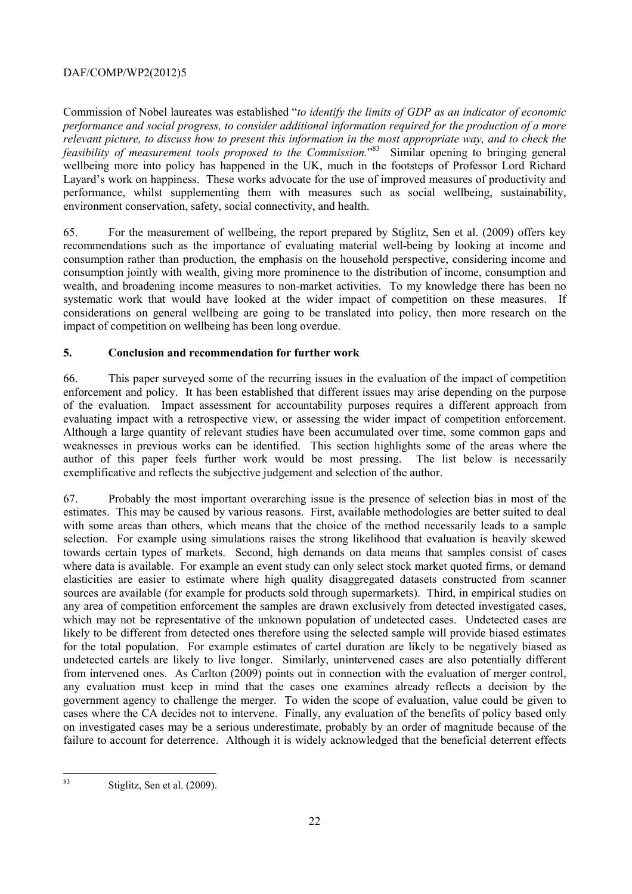Commission of Nobel laureates was established "*to identify the limits of GDP as an indicator of economic performance and social progress, to consider additional information required for the production of a more relevant picture, to discuss how to present this information in the most appropriate way, and to check the*  feasibility of measurement tools proposed to the Commission.<sup>83</sup> Similar opening to bringing general wellbeing more into policy has happened in the UK, much in the footsteps of Professor Lord Richard Layard's work on happiness. These works advocate for the use of improved measures of productivity and performance, whilst supplementing them with measures such as social wellbeing, sustainability, environment conservation, safety, social connectivity, and health.

65. For the measurement of wellbeing, the report prepared by Stiglitz, Sen et al. (2009) offers key recommendations such as the importance of evaluating material well-being by looking at income and consumption rather than production, the emphasis on the household perspective, considering income and consumption jointly with wealth, giving more prominence to the distribution of income, consumption and wealth, and broadening income measures to non-market activities. To my knowledge there has been no systematic work that would have looked at the wider impact of competition on these measures. If considerations on general wellbeing are going to be translated into policy, then more research on the impact of competition on wellbeing has been long overdue.

## **5. Conclusion and recommendation for further work**

66. This paper surveyed some of the recurring issues in the evaluation of the impact of competition enforcement and policy. It has been established that different issues may arise depending on the purpose of the evaluation. Impact assessment for accountability purposes requires a different approach from evaluating impact with a retrospective view, or assessing the wider impact of competition enforcement. Although a large quantity of relevant studies have been accumulated over time, some common gaps and weaknesses in previous works can be identified. This section highlights some of the areas where the author of this paper feels further work would be most pressing. The list below is necessarily exemplificative and reflects the subjective judgement and selection of the author.

67. Probably the most important overarching issue is the presence of selection bias in most of the estimates. This may be caused by various reasons. First, available methodologies are better suited to deal with some areas than others, which means that the choice of the method necessarily leads to a sample selection. For example using simulations raises the strong likelihood that evaluation is heavily skewed towards certain types of markets. Second, high demands on data means that samples consist of cases where data is available. For example an event study can only select stock market quoted firms, or demand elasticities are easier to estimate where high quality disaggregated datasets constructed from scanner sources are available (for example for products sold through supermarkets). Third, in empirical studies on any area of competition enforcement the samples are drawn exclusively from detected investigated cases, which may not be representative of the unknown population of undetected cases. Undetected cases are likely to be different from detected ones therefore using the selected sample will provide biased estimates for the total population. For example estimates of cartel duration are likely to be negatively biased as undetected cartels are likely to live longer. Similarly, unintervened cases are also potentially different from intervened ones. As Carlton (2009) points out in connection with the evaluation of merger control, any evaluation must keep in mind that the cases one examines already reflects a decision by the government agency to challenge the merger. To widen the scope of evaluation, value could be given to cases where the CA decides not to intervene. Finally, any evaluation of the benefits of policy based only on investigated cases may be a serious underestimate, probably by an order of magnitude because of the failure to account for deterrence. Although it is widely acknowledged that the beneficial deterrent effects

<sup>83</sup> Stiglitz, Sen et al. (2009).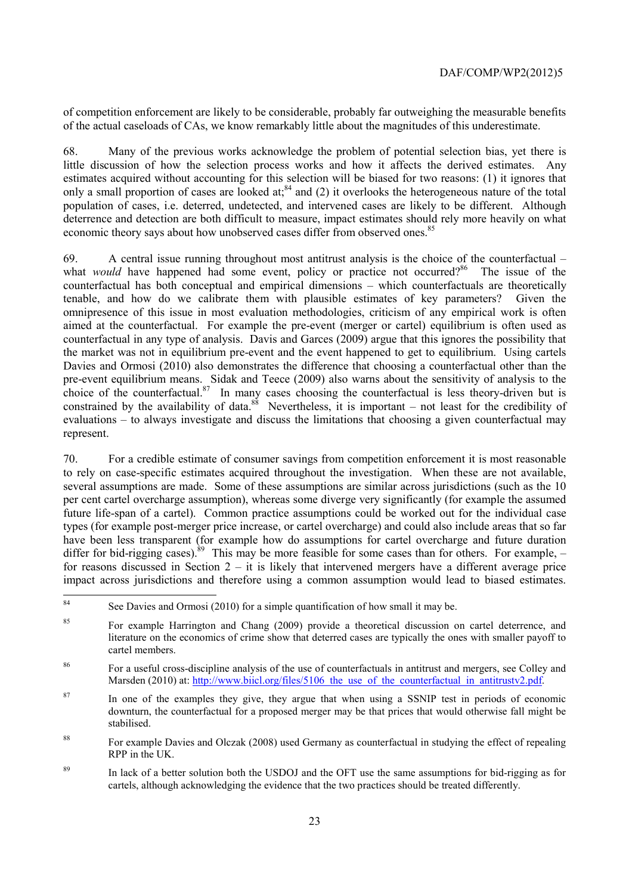of competition enforcement are likely to be considerable, probably far outweighing the measurable benefits of the actual caseloads of CAs, we know remarkably little about the magnitudes of this underestimate.

68. Many of the previous works acknowledge the problem of potential selection bias, yet there is little discussion of how the selection process works and how it affects the derived estimates. Any estimates acquired without accounting for this selection will be biased for two reasons: (1) it ignores that only a small proportion of cases are looked at;<sup>84</sup> and (2) it overlooks the heterogeneous nature of the total population of cases, i.e. deterred, undetected, and intervened cases are likely to be different. Although deterrence and detection are both difficult to measure, impact estimates should rely more heavily on what economic theory says about how unobserved cases differ from observed ones.<sup>85</sup>

69. A central issue running throughout most antitrust analysis is the choice of the counterfactual – what *would* have happened had some event, policy or practice not occurred?<sup>86</sup> The issue of the counterfactual has both conceptual and empirical dimensions – which counterfactuals are theoretically tenable, and how do we calibrate them with plausible estimates of key parameters? Given the omnipresence of this issue in most evaluation methodologies, criticism of any empirical work is often aimed at the counterfactual. For example the pre-event (merger or cartel) equilibrium is often used as counterfactual in any type of analysis. Davis and Garces (2009) argue that this ignores the possibility that the market was not in equilibrium pre-event and the event happened to get to equilibrium. Using cartels Davies and Ormosi (2010) also demonstrates the difference that choosing a counterfactual other than the pre-event equilibrium means. Sidak and Teece (2009) also warns about the sensitivity of analysis to the choice of the counterfactual.<sup>87</sup> In many cases choosing the counterfactual is less theory-driven but is constrained by the availability of data.<sup>88</sup> Nevertheless, it is important – not least for the credibility of evaluations – to always investigate and discuss the limitations that choosing a given counterfactual may represent.

70. For a credible estimate of consumer savings from competition enforcement it is most reasonable to rely on case-specific estimates acquired throughout the investigation. When these are not available, several assumptions are made. Some of these assumptions are similar across jurisdictions (such as the 10 per cent cartel overcharge assumption), whereas some diverge very significantly (for example the assumed future life-span of a cartel). Common practice assumptions could be worked out for the individual case types (for example post-merger price increase, or cartel overcharge) and could also include areas that so far have been less transparent (for example how do assumptions for cartel overcharge and future duration differ for bid-rigging cases).<sup>89</sup> This may be more feasible for some cases than for others. For example,  $$ for reasons discussed in Section  $2 - it$  is likely that intervened mergers have a different average price impact across jurisdictions and therefore using a common assumption would lead to biased estimates.

- <sup>87</sup> In one of the examples they give, they argue that when using a SSNIP test in periods of economic downturn, the counterfactual for a proposed merger may be that prices that would otherwise fall might be stabilised.
- <sup>88</sup> For example Davies and Olczak (2008) used Germany as counterfactual in studying the effect of repealing RPP in the UK.
- <sup>89</sup> In lack of a better solution both the USDOJ and the OFT use the same assumptions for bid-rigging as for cartels, although acknowledging the evidence that the two practices should be treated differently.

 $84$ See Davies and Ormosi (2010) for a simple quantification of how small it may be.

<sup>&</sup>lt;sup>85</sup> For example Harrington and Chang (2009) provide a theoretical discussion on cartel deterrence, and literature on the economics of crime show that deterred cases are typically the ones with smaller payoff to cartel members.

<sup>86</sup> For a useful cross-discipline analysis of the use of counterfactuals in antitrust and mergers, see Colley and Marsden (2010) at: http://www.biicl.org/files/5106 the use of the counterfactual in antitrustv2.pdf.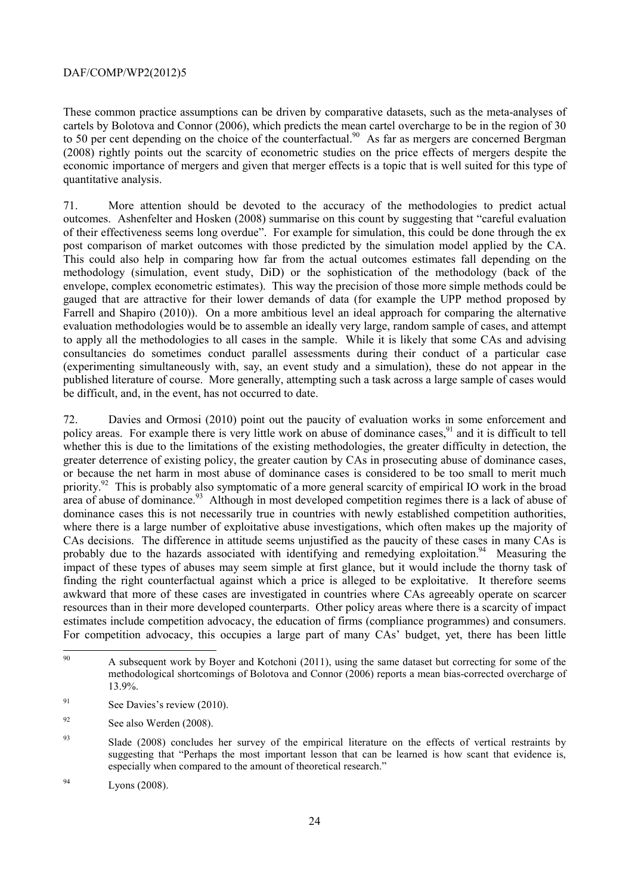These common practice assumptions can be driven by comparative datasets, such as the meta-analyses of cartels by Bolotova and Connor (2006), which predicts the mean cartel overcharge to be in the region of 30 to 50 per cent depending on the choice of the counterfactual.<sup>90</sup> As far as mergers are concerned Bergman (2008) rightly points out the scarcity of econometric studies on the price effects of mergers despite the economic importance of mergers and given that merger effects is a topic that is well suited for this type of quantitative analysis.

71. More attention should be devoted to the accuracy of the methodologies to predict actual outcomes. Ashenfelter and Hosken (2008) summarise on this count by suggesting that "careful evaluation of their effectiveness seems long overdue". For example for simulation, this could be done through the ex post comparison of market outcomes with those predicted by the simulation model applied by the CA. This could also help in comparing how far from the actual outcomes estimates fall depending on the methodology (simulation, event study, DiD) or the sophistication of the methodology (back of the envelope, complex econometric estimates). This way the precision of those more simple methods could be gauged that are attractive for their lower demands of data (for example the UPP method proposed by Farrell and Shapiro (2010)). On a more ambitious level an ideal approach for comparing the alternative evaluation methodologies would be to assemble an ideally very large, random sample of cases, and attempt to apply all the methodologies to all cases in the sample. While it is likely that some CAs and advising consultancies do sometimes conduct parallel assessments during their conduct of a particular case (experimenting simultaneously with, say, an event study and a simulation), these do not appear in the published literature of course. More generally, attempting such a task across a large sample of cases would be difficult, and, in the event, has not occurred to date.

72. Davies and Ormosi (2010) point out the paucity of evaluation works in some enforcement and policy areas. For example there is very little work on abuse of dominance cases, <sup>91</sup> and it is difficult to tell whether this is due to the limitations of the existing methodologies, the greater difficulty in detection, the greater deterrence of existing policy, the greater caution by CAs in prosecuting abuse of dominance cases, or because the net harm in most abuse of dominance cases is considered to be too small to merit much priority.<sup>92</sup> This is probably also symptomatic of a more general scarcity of empirical IO work in the broad area of abuse of dominance.<sup>93</sup> Although in most developed competition regimes there is a lack of abuse of dominance cases this is not necessarily true in countries with newly established competition authorities, where there is a large number of exploitative abuse investigations, which often makes up the majority of CAs decisions. The difference in attitude seems unjustified as the paucity of these cases in many CAs is probably due to the hazards associated with identifying and remedying exploitation.<sup>94</sup> Measuring the impact of these types of abuses may seem simple at first glance, but it would include the thorny task of finding the right counterfactual against which a price is alleged to be exploitative. It therefore seems awkward that more of these cases are investigated in countries where CAs agreeably operate on scarcer resources than in their more developed counterparts. Other policy areas where there is a scarcity of impact estimates include competition advocacy, the education of firms (compliance programmes) and consumers. For competition advocacy, this occupies a large part of many CAs' budget, yet, there has been little

<sup>90</sup> 90 A subsequent work by Boyer and Kotchoni (2011), using the same dataset but correcting for some of the methodological shortcomings of Bolotova and Connor (2006) reports a mean bias-corrected overcharge of 13.9%.

<sup>&</sup>lt;sup>91</sup> See Davies's review (2010).

<sup>&</sup>lt;sup>92</sup> See also Werden (2008).

<sup>&</sup>lt;sup>93</sup> Slade (2008) concludes her survey of the empirical literature on the effects of vertical restraints by suggesting that "Perhaps the most important lesson that can be learned is how scant that evidence is, especially when compared to the amount of theoretical research."

<sup>94</sup> Lyons (2008).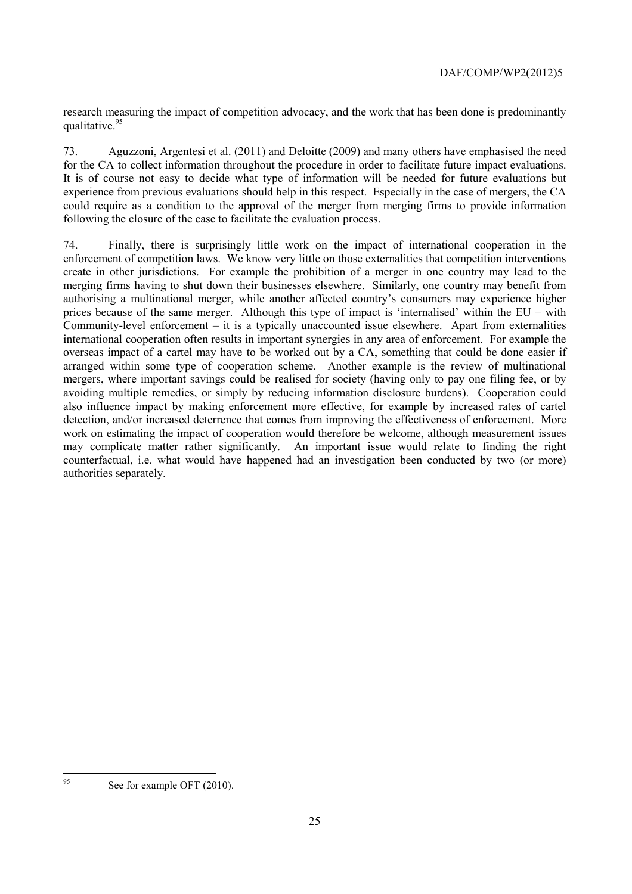research measuring the impact of competition advocacy, and the work that has been done is predominantly qualitative.<sup>95</sup>

73. Aguzzoni, Argentesi et al. (2011) and Deloitte (2009) and many others have emphasised the need for the CA to collect information throughout the procedure in order to facilitate future impact evaluations. It is of course not easy to decide what type of information will be needed for future evaluations but experience from previous evaluations should help in this respect. Especially in the case of mergers, the CA could require as a condition to the approval of the merger from merging firms to provide information following the closure of the case to facilitate the evaluation process.

74. Finally, there is surprisingly little work on the impact of international cooperation in the enforcement of competition laws. We know very little on those externalities that competition interventions create in other jurisdictions. For example the prohibition of a merger in one country may lead to the merging firms having to shut down their businesses elsewhere. Similarly, one country may benefit from authorising a multinational merger, while another affected country's consumers may experience higher prices because of the same merger. Although this type of impact is 'internalised' within the EU – with Community-level enforcement – it is a typically unaccounted issue elsewhere. Apart from externalities international cooperation often results in important synergies in any area of enforcement. For example the overseas impact of a cartel may have to be worked out by a CA, something that could be done easier if arranged within some type of cooperation scheme. Another example is the review of multinational mergers, where important savings could be realised for society (having only to pay one filing fee, or by avoiding multiple remedies, or simply by reducing information disclosure burdens). Cooperation could also influence impact by making enforcement more effective, for example by increased rates of cartel detection, and/or increased deterrence that comes from improving the effectiveness of enforcement. More work on estimating the impact of cooperation would therefore be welcome, although measurement issues may complicate matter rather significantly. An important issue would relate to finding the right counterfactual, i.e. what would have happened had an investigation been conducted by two (or more) authorities separately.

95

See for example OFT (2010).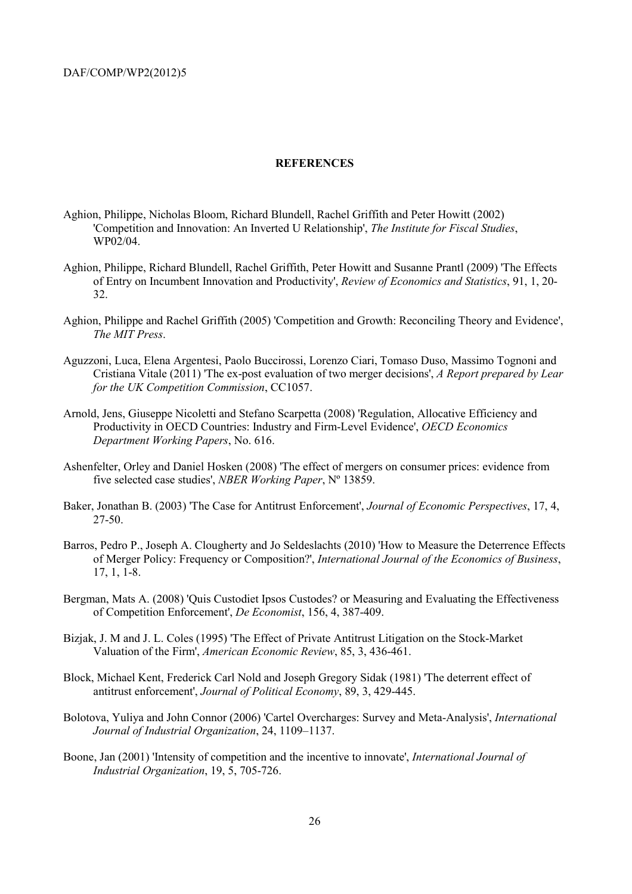#### **REFERENCES**

- Aghion, Philippe, Nicholas Bloom, Richard Blundell, Rachel Griffith and Peter Howitt (2002) 'Competition and Innovation: An Inverted U Relationship', *The Institute for Fiscal Studies*, WP02/04.
- Aghion, Philippe, Richard Blundell, Rachel Griffith, Peter Howitt and Susanne Prantl (2009) 'The Effects of Entry on Incumbent Innovation and Productivity', *Review of Economics and Statistics*, 91, 1, 20- 32.
- Aghion, Philippe and Rachel Griffith (2005) 'Competition and Growth: Reconciling Theory and Evidence', *The MIT Press*.
- Aguzzoni, Luca, Elena Argentesi, Paolo Buccirossi, Lorenzo Ciari, Tomaso Duso, Massimo Tognoni and Cristiana Vitale (2011) 'The ex-post evaluation of two merger decisions', *A Report prepared by Lear for the UK Competition Commission*, CC1057.
- Arnold, Jens, Giuseppe Nicoletti and Stefano Scarpetta (2008) 'Regulation, Allocative Efficiency and Productivity in OECD Countries: Industry and Firm-Level Evidence', *OECD Economics Department Working Papers*, No. 616.
- Ashenfelter, Orley and Daniel Hosken (2008) 'The effect of mergers on consumer prices: evidence from five selected case studies', *NBER Working Paper*, Nº 13859.
- Baker, Jonathan B. (2003) 'The Case for Antitrust Enforcement', *Journal of Economic Perspectives*, 17, 4, 27-50.
- Barros, Pedro P., Joseph A. Clougherty and Jo Seldeslachts (2010) 'How to Measure the Deterrence Effects of Merger Policy: Frequency or Composition?', *International Journal of the Economics of Business*, 17, 1, 1-8.
- Bergman, Mats A. (2008) 'Quis Custodiet Ipsos Custodes? or Measuring and Evaluating the Effectiveness of Competition Enforcement', *De Economist*, 156, 4, 387-409.
- Bizjak, J. M and J. L. Coles (1995) 'The Effect of Private Antitrust Litigation on the Stock-Market Valuation of the Firm', *American Economic Review*, 85, 3, 436-461.
- Block, Michael Kent, Frederick Carl Nold and Joseph Gregory Sidak (1981) 'The deterrent effect of antitrust enforcement', *Journal of Political Economy*, 89, 3, 429-445.
- Bolotova, Yuliya and John Connor (2006) 'Cartel Overcharges: Survey and Meta-Analysis', *International Journal of Industrial Organization*, 24, 1109–1137.
- Boone, Jan (2001) 'Intensity of competition and the incentive to innovate', *International Journal of Industrial Organization*, 19, 5, 705-726.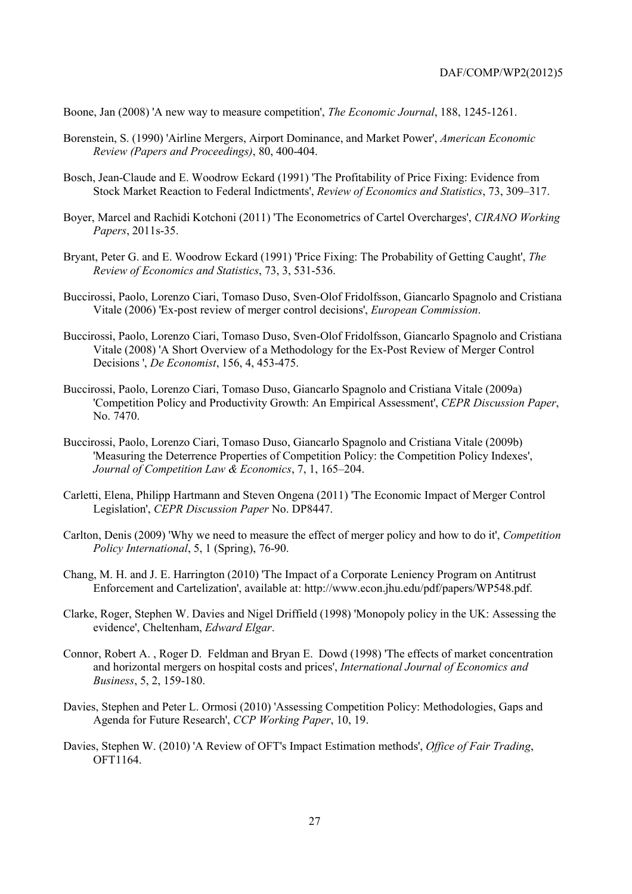Boone, Jan (2008) 'A new way to measure competition', *The Economic Journal*, 188, 1245-1261.

- Borenstein, S. (1990) 'Airline Mergers, Airport Dominance, and Market Power', *American Economic Review (Papers and Proceedings)*, 80, 400-404.
- Bosch, Jean-Claude and E. Woodrow Eckard (1991) 'The Profitability of Price Fixing: Evidence from Stock Market Reaction to Federal Indictments', *Review of Economics and Statistics*, 73, 309–317.
- Boyer, Marcel and Rachidi Kotchoni (2011) 'The Econometrics of Cartel Overcharges', *CIRANO Working Papers*, 2011s-35.
- Bryant, Peter G. and E. Woodrow Eckard (1991) 'Price Fixing: The Probability of Getting Caught', *The Review of Economics and Statistics*, 73, 3, 531-536.
- Buccirossi, Paolo, Lorenzo Ciari, Tomaso Duso, Sven-Olof Fridolfsson, Giancarlo Spagnolo and Cristiana Vitale (2006) 'Ex-post review of merger control decisions', *European Commission*.
- Buccirossi, Paolo, Lorenzo Ciari, Tomaso Duso, Sven-Olof Fridolfsson, Giancarlo Spagnolo and Cristiana Vitale (2008) 'A Short Overview of a Methodology for the Ex-Post Review of Merger Control Decisions ', *De Economist*, 156, 4, 453-475.
- Buccirossi, Paolo, Lorenzo Ciari, Tomaso Duso, Giancarlo Spagnolo and Cristiana Vitale (2009a) 'Competition Policy and Productivity Growth: An Empirical Assessment', *CEPR Discussion Paper*, No. 7470.
- Buccirossi, Paolo, Lorenzo Ciari, Tomaso Duso, Giancarlo Spagnolo and Cristiana Vitale (2009b) 'Measuring the Deterrence Properties of Competition Policy: the Competition Policy Indexes', *Journal of Competition Law & Economics*, 7, 1, 165–204.
- Carletti, Elena, Philipp Hartmann and Steven Ongena (2011) 'The Economic Impact of Merger Control Legislation', *CEPR Discussion Paper* No. DP8447.
- Carlton, Denis (2009) 'Why we need to measure the effect of merger policy and how to do it', *Competition Policy International*, 5, 1 (Spring), 76-90.
- Chang, M. H. and J. E. Harrington (2010) 'The Impact of a Corporate Leniency Program on Antitrust Enforcement and Cartelization', available at: http://www.econ.jhu.edu/pdf/papers/WP548.pdf.
- Clarke, Roger, Stephen W. Davies and Nigel Driffield (1998) 'Monopoly policy in the UK: Assessing the evidence', Cheltenham, *Edward Elgar*.
- Connor, Robert A. , Roger D. Feldman and Bryan E. Dowd (1998) 'The effects of market concentration and horizontal mergers on hospital costs and prices', *International Journal of Economics and Business*, 5, 2, 159-180.
- Davies, Stephen and Peter L. Ormosi (2010) 'Assessing Competition Policy: Methodologies, Gaps and Agenda for Future Research', *CCP Working Paper*, 10, 19.
- Davies, Stephen W. (2010) 'A Review of OFT's Impact Estimation methods', *Office of Fair Trading*, OFT1164.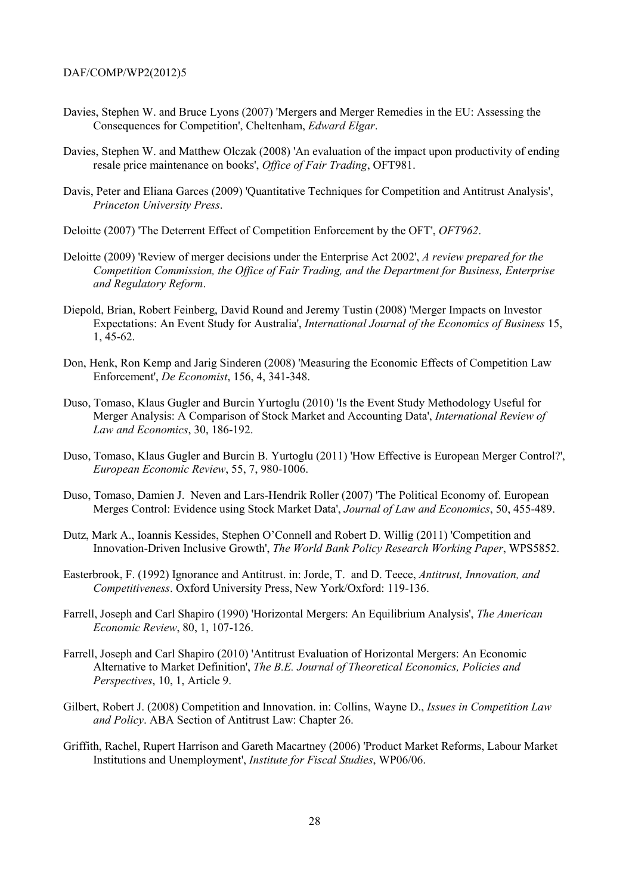- Davies, Stephen W. and Bruce Lyons (2007) 'Mergers and Merger Remedies in the EU: Assessing the Consequences for Competition', Cheltenham, *Edward Elgar*.
- Davies, Stephen W. and Matthew Olczak (2008) 'An evaluation of the impact upon productivity of ending resale price maintenance on books', *Office of Fair Trading*, OFT981.
- Davis, Peter and Eliana Garces (2009) 'Quantitative Techniques for Competition and Antitrust Analysis', *Princeton University Press*.
- Deloitte (2007) 'The Deterrent Effect of Competition Enforcement by the OFT', *OFT962*.
- Deloitte (2009) 'Review of merger decisions under the Enterprise Act 2002', *A review prepared for the Competition Commission, the Office of Fair Trading, and the Department for Business, Enterprise and Regulatory Reform*.
- Diepold, Brian, Robert Feinberg, David Round and Jeremy Tustin (2008) 'Merger Impacts on Investor Expectations: An Event Study for Australia', *International Journal of the Economics of Business* 15, 1, 45-62.
- Don, Henk, Ron Kemp and Jarig Sinderen (2008) 'Measuring the Economic Effects of Competition Law Enforcement', *De Economist*, 156, 4, 341-348.
- Duso, Tomaso, Klaus Gugler and Burcin Yurtoglu (2010) 'Is the Event Study Methodology Useful for Merger Analysis: A Comparison of Stock Market and Accounting Data', *International Review of Law and Economics*, 30, 186-192.
- Duso, Tomaso, Klaus Gugler and Burcin B. Yurtoglu (2011) 'How Effective is European Merger Control?', *European Economic Review*, 55, 7, 980-1006.
- Duso, Tomaso, Damien J. Neven and Lars-Hendrik Roller (2007) 'The Political Economy of. European Merges Control: Evidence using Stock Market Data', *Journal of Law and Economics*, 50, 455-489.
- Dutz, Mark A., Ioannis Kessides, Stephen O'Connell and Robert D. Willig (2011) 'Competition and Innovation-Driven Inclusive Growth', *The World Bank Policy Research Working Paper*, WPS5852.
- Easterbrook, F. (1992) Ignorance and Antitrust. in: Jorde, T. and D. Teece, *Antitrust, Innovation, and Competitiveness*. Oxford University Press, New York/Oxford: 119-136.
- Farrell, Joseph and Carl Shapiro (1990) 'Horizontal Mergers: An Equilibrium Analysis', *The American Economic Review*, 80, 1, 107-126.
- Farrell, Joseph and Carl Shapiro (2010) 'Antitrust Evaluation of Horizontal Mergers: An Economic Alternative to Market Definition', *The B.E. Journal of Theoretical Economics, Policies and Perspectives*, 10, 1, Article 9.
- Gilbert, Robert J. (2008) Competition and Innovation. in: Collins, Wayne D., *Issues in Competition Law and Policy*. ABA Section of Antitrust Law: Chapter 26.
- Griffith, Rachel, Rupert Harrison and Gareth Macartney (2006) 'Product Market Reforms, Labour Market Institutions and Unemployment', *Institute for Fiscal Studies*, WP06/06.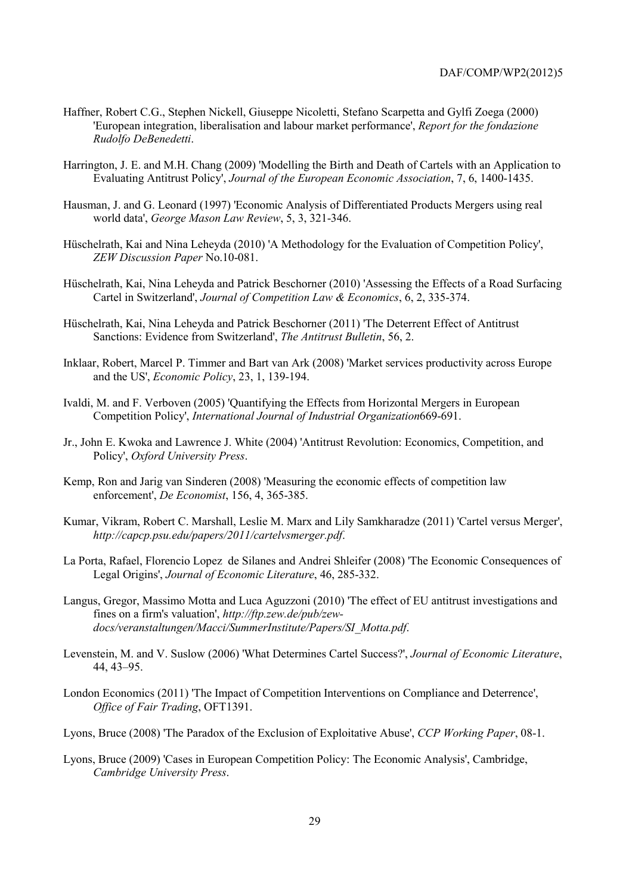- Haffner, Robert C.G., Stephen Nickell, Giuseppe Nicoletti, Stefano Scarpetta and Gylfi Zoega (2000) 'European integration, liberalisation and labour market performance', *Report for the fondazione Rudolfo DeBenedetti*.
- Harrington, J. E. and M.H. Chang (2009) 'Modelling the Birth and Death of Cartels with an Application to Evaluating Antitrust Policy', *Journal of the European Economic Association*, 7, 6, 1400-1435.
- Hausman, J. and G. Leonard (1997) 'Economic Analysis of Differentiated Products Mergers using real world data', *George Mason Law Review*, 5, 3, 321-346.
- Hüschelrath, Kai and Nina Leheyda (2010) 'A Methodology for the Evaluation of Competition Policy', *ZEW Discussion Paper* No.10-081.
- Hüschelrath, Kai, Nina Leheyda and Patrick Beschorner (2010) 'Assessing the Effects of a Road Surfacing Cartel in Switzerland', *Journal of Competition Law & Economics*, 6, 2, 335-374.
- Hüschelrath, Kai, Nina Leheyda and Patrick Beschorner (2011) 'The Deterrent Effect of Antitrust Sanctions: Evidence from Switzerland', *The Antitrust Bulletin*, 56, 2.
- Inklaar, Robert, Marcel P. Timmer and Bart van Ark (2008) 'Market services productivity across Europe and the US', *Economic Policy*, 23, 1, 139-194.
- Ivaldi, M. and F. Verboven (2005) 'Quantifying the Effects from Horizontal Mergers in European Competition Policy', *International Journal of Industrial Organization*669-691.
- Jr., John E. Kwoka and Lawrence J. White (2004) 'Antitrust Revolution: Economics, Competition, and Policy', *Oxford University Press*.
- Kemp, Ron and Jarig van Sinderen (2008) 'Measuring the economic effects of competition law enforcement', *De Economist*, 156, 4, 365-385.
- Kumar, Vikram, Robert C. Marshall, Leslie M. Marx and Lily Samkharadze (2011) 'Cartel versus Merger', *http://capcp.psu.edu/papers/2011/cartelvsmerger.pdf*.
- La Porta, Rafael, Florencio Lopez de Silanes and Andrei Shleifer (2008) 'The Economic Consequences of Legal Origins', *Journal of Economic Literature*, 46, 285-332.
- Langus, Gregor, Massimo Motta and Luca Aguzzoni (2010) 'The effect of EU antitrust investigations and fines on a firm's valuation', *http://ftp.zew.de/pub/zewdocs/veranstaltungen/Macci/SummerInstitute/Papers/SI\_Motta.pdf*.
- Levenstein, M. and V. Suslow (2006) 'What Determines Cartel Success?', *Journal of Economic Literature*, 44, 43–95.
- London Economics (2011) 'The Impact of Competition Interventions on Compliance and Deterrence', *Office of Fair Trading*, OFT1391.
- Lyons, Bruce (2008) 'The Paradox of the Exclusion of Exploitative Abuse', *CCP Working Paper*, 08-1.
- Lyons, Bruce (2009) 'Cases in European Competition Policy: The Economic Analysis', Cambridge, *Cambridge University Press*.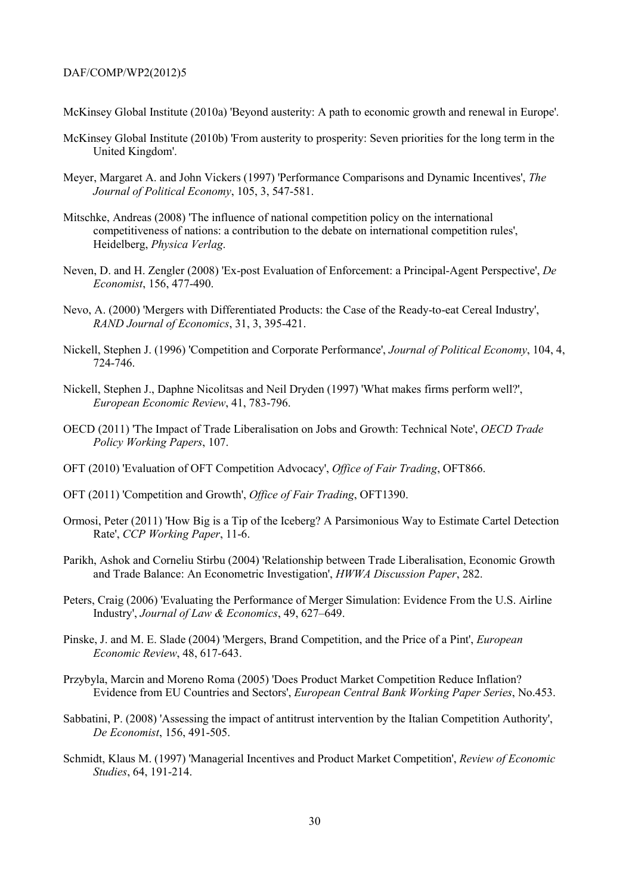McKinsey Global Institute (2010a) 'Beyond austerity: A path to economic growth and renewal in Europe'.

- McKinsey Global Institute (2010b) 'From austerity to prosperity: Seven priorities for the long term in the United Kingdom'.
- Meyer, Margaret A. and John Vickers (1997) 'Performance Comparisons and Dynamic Incentives', *The Journal of Political Economy*, 105, 3, 547-581.
- Mitschke, Andreas (2008) 'The influence of national competition policy on the international competitiveness of nations: a contribution to the debate on international competition rules', Heidelberg, *Physica Verlag*.
- Neven, D. and H. Zengler (2008) 'Ex-post Evaluation of Enforcement: a Principal-Agent Perspective', *De Economist*, 156, 477-490.
- Nevo, A. (2000) 'Mergers with Differentiated Products: the Case of the Ready-to-eat Cereal Industry', *RAND Journal of Economics*, 31, 3, 395-421.
- Nickell, Stephen J. (1996) 'Competition and Corporate Performance', *Journal of Political Economy*, 104, 4, 724-746.
- Nickell, Stephen J., Daphne Nicolitsas and Neil Dryden (1997) 'What makes firms perform well?', *European Economic Review*, 41, 783-796.
- OECD (2011) 'The Impact of Trade Liberalisation on Jobs and Growth: Technical Note', *OECD Trade Policy Working Papers*, 107.
- OFT (2010) 'Evaluation of OFT Competition Advocacy', *Office of Fair Trading*, OFT866.
- OFT (2011) 'Competition and Growth', *Office of Fair Trading*, OFT1390.
- Ormosi, Peter (2011) 'How Big is a Tip of the Iceberg? A Parsimonious Way to Estimate Cartel Detection Rate', *CCP Working Paper*, 11-6.
- Parikh, Ashok and Corneliu Stirbu (2004) 'Relationship between Trade Liberalisation, Economic Growth and Trade Balance: An Econometric Investigation', *HWWA Discussion Paper*, 282.
- Peters, Craig (2006) 'Evaluating the Performance of Merger Simulation: Evidence From the U.S. Airline Industry', *Journal of Law & Economics*, 49, 627–649.
- Pinske, J. and M. E. Slade (2004) 'Mergers, Brand Competition, and the Price of a Pint', *European Economic Review*, 48, 617-643.
- Przybyla, Marcin and Moreno Roma (2005) 'Does Product Market Competition Reduce Inflation? Evidence from EU Countries and Sectors', *European Central Bank Working Paper Series*, No.453.
- Sabbatini, P. (2008) 'Assessing the impact of antitrust intervention by the Italian Competition Authority', *De Economist*, 156, 491-505.
- Schmidt, Klaus M. (1997) 'Managerial Incentives and Product Market Competition', *Review of Economic Studies*, 64, 191-214.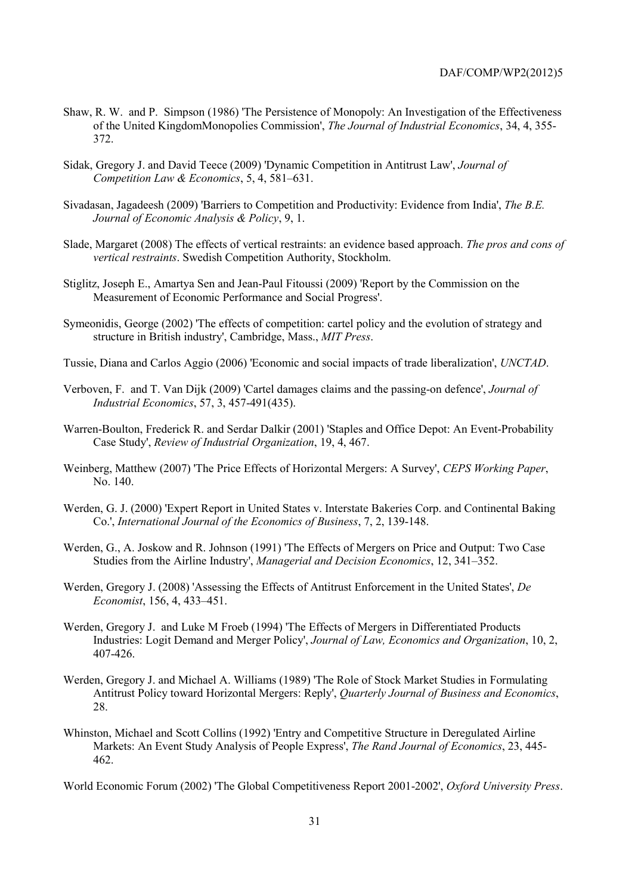- Shaw, R. W. and P. Simpson (1986) 'The Persistence of Monopoly: An Investigation of the Effectiveness of the United KingdomMonopolies Commission', *The Journal of Industrial Economics*, 34, 4, 355- 372.
- Sidak, Gregory J. and David Teece (2009) 'Dynamic Competition in Antitrust Law', *Journal of Competition Law & Economics*, 5, 4, 581–631.
- Sivadasan, Jagadeesh (2009) 'Barriers to Competition and Productivity: Evidence from India', *The B.E. Journal of Economic Analysis & Policy*, 9, 1.
- Slade, Margaret (2008) The effects of vertical restraints: an evidence based approach. *The pros and cons of vertical restraints*. Swedish Competition Authority, Stockholm.
- Stiglitz, Joseph E., Amartya Sen and Jean-Paul Fitoussi (2009) 'Report by the Commission on the Measurement of Economic Performance and Social Progress'.
- Symeonidis, George (2002) 'The effects of competition: cartel policy and the evolution of strategy and structure in British industry', Cambridge, Mass., *MIT Press*.
- Tussie, Diana and Carlos Aggio (2006) 'Economic and social impacts of trade liberalization', *UNCTAD*.
- Verboven, F. and T. Van Dijk (2009) 'Cartel damages claims and the passing-on defence', *Journal of Industrial Economics*, 57, 3, 457-491(435).
- Warren-Boulton, Frederick R. and Serdar Dalkir (2001) 'Staples and Office Depot: An Event-Probability Case Study', *Review of Industrial Organization*, 19, 4, 467.
- Weinberg, Matthew (2007) 'The Price Effects of Horizontal Mergers: A Survey', *CEPS Working Paper*, No. 140.
- Werden, G. J. (2000) 'Expert Report in United States v. Interstate Bakeries Corp. and Continental Baking Co.', *International Journal of the Economics of Business*, 7, 2, 139-148.
- Werden, G., A. Joskow and R. Johnson (1991) 'The Effects of Mergers on Price and Output: Two Case Studies from the Airline Industry', *Managerial and Decision Economics*, 12, 341–352.
- Werden, Gregory J. (2008) 'Assessing the Effects of Antitrust Enforcement in the United States', *De Economist*, 156, 4, 433–451.
- Werden, Gregory J. and Luke M Froeb (1994) 'The Effects of Mergers in Differentiated Products Industries: Logit Demand and Merger Policy', *Journal of Law, Economics and Organization*, 10, 2, 407-426.
- Werden, Gregory J. and Michael A. Williams (1989) 'The Role of Stock Market Studies in Formulating Antitrust Policy toward Horizontal Mergers: Reply', *Quarterly Journal of Business and Economics*, 28.
- Whinston, Michael and Scott Collins (1992) 'Entry and Competitive Structure in Deregulated Airline Markets: An Event Study Analysis of People Express', *The Rand Journal of Economics*, 23, 445- 462.

World Economic Forum (2002) 'The Global Competitiveness Report 2001-2002', *Oxford University Press*.